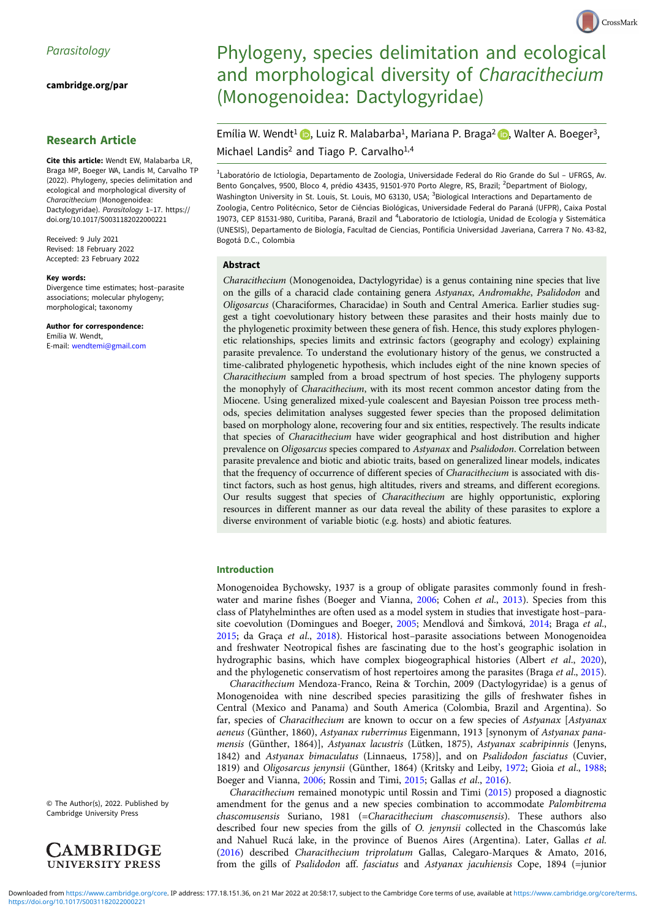[cambridge.org/par](https://www.cambridge.org/par)

# Research Article

Cite this article: Wendt EW, Malabarba LR, Braga MP, Boeger WA, Landis M, Carvalho TP (2022). Phylogeny, species delimitation and ecological and morphological diversity of Characithecium (Monogenoidea: Dactylogyridae). Parasitology 1–17. [https://](https://doi.org/10.1017/S0031182022000221) [doi.org/10.1017/S0031182022000221](https://doi.org/10.1017/S0031182022000221)

Received: 9 July 2021 Revised: 18 February 2022 Accepted: 23 February 2022

#### Key words:

Divergence time estimates; host–parasite associations; molecular phylogeny; morphological; taxonomy

Author for correspondence: Emília W. Wendt, E-mail: [wendtemi@gmail.com](mailto:wendtemi@gmail.com)

© The Author(s), 2022. Published by Cambridge University Press



# Phylogeny, species delimitation and ecological and morphological diversity of Characithecium (Monogenoidea: Dactylogyridae)

CrossMark

Emília W. Wendt<sup>1</sup> **D**[,](https://orcid.org/0000-0002-1253-2536) Luiz R. Malabarba<sup>1</sup>, Mariana P. Braga<sup>2</sup> **D**, Walter A. Boeger<sup>3</sup>, Michael Landis<sup>2</sup> and Tiago P. Carvalho<sup>1,4</sup>

<sup>1</sup>Laboratório de Ictiologia, Departamento de Zoologia, Universidade Federal do Rio Grande do Sul - UFRGS, Av. Bento Gonçalves, 9500, Bloco 4, prédio 43435, 91501-970 Porto Alegre, RS, Brazil; <sup>2</sup>Department of Biology, Washington University in St. Louis, St. Louis, MO 63130, USA; <sup>3</sup>Biological Interactions and Departamento de Zoologia, Centro Politécnico, Setor de Ciências Biológicas, Universidade Federal do Paraná (UFPR), Caixa Postal 19073, CEP 81531-980, Curitiba, Paraná, Brazil and <sup>4</sup>Laboratorio de Ictiología, Unidad de Ecología y Sistemática (UNESIS), Departamento de Biología, Facultad de Ciencias, Pontificia Universidad Javeriana, Carrera 7 No. 43-82, Bogotá D.C., Colombia

#### Abstract

Characithecium (Monogenoidea, Dactylogyridae) is a genus containing nine species that live on the gills of a characid clade containing genera Astyanax, Andromakhe, Psalidodon and Oligosarcus (Characiformes, Characidae) in South and Central America. Earlier studies suggest a tight coevolutionary history between these parasites and their hosts mainly due to the phylogenetic proximity between these genera of fish. Hence, this study explores phylogenetic relationships, species limits and extrinsic factors (geography and ecology) explaining parasite prevalence. To understand the evolutionary history of the genus, we constructed a time-calibrated phylogenetic hypothesis, which includes eight of the nine known species of Characithecium sampled from a broad spectrum of host species. The phylogeny supports the monophyly of Characithecium, with its most recent common ancestor dating from the Miocene. Using generalized mixed-yule coalescent and Bayesian Poisson tree process methods, species delimitation analyses suggested fewer species than the proposed delimitation based on morphology alone, recovering four and six entities, respectively. The results indicate that species of Characithecium have wider geographical and host distribution and higher prevalence on Oligosarcus species compared to Astyanax and Psalidodon. Correlation between parasite prevalence and biotic and abiotic traits, based on generalized linear models, indicates that the frequency of occurrence of different species of Characithecium is associated with distinct factors, such as host genus, high altitudes, rivers and streams, and different ecoregions. Our results suggest that species of Characithecium are highly opportunistic, exploring resources in different manner as our data reveal the ability of these parasites to explore a diverse environment of variable biotic (e.g. hosts) and abiotic features.

#### Introduction

Monogenoidea Bychowsky, 1937 is a group of obligate parasites commonly found in fresh-water and marine fishes (Boeger and Vianna, [2006](#page-15-0); Cohen et al., [2013\)](#page-15-0). Species from this class of Platyhelminthes are often used as a model system in studies that investigate host–para-site coevolution (Domingues and Boeger, [2005;](#page-15-0) Mendlová and Šimková, [2014](#page-15-0); Braga et al., [2015;](#page-15-0) da Graça et al., [2018](#page-15-0)). Historical host–parasite associations between Monogenoidea and freshwater Neotropical fishes are fascinating due to the host's geographic isolation in hydrographic basins, which have complex biogeographical histories (Albert et al., [2020](#page-15-0)), and the phylogenetic conservatism of host repertoires among the parasites (Braga et al., [2015](#page-15-0)).

Characithecium Mendoza-Franco, Reina & Torchin, 2009 (Dactylogyridae) is a genus of Monogenoidea with nine described species parasitizing the gills of freshwater fishes in Central (Mexico and Panama) and South America (Colombia, Brazil and Argentina). So far, species of Characithecium are known to occur on a few species of Astyanax [Astyanax aeneus (Günther, 1860), Astyanax ruberrimus Eigenmann, 1913 [synonym of Astyanax panamensis (Günther, 1864)], Astyanax lacustris (Lütken, 1875), Astyanax scabripinnis (Jenyns, 1842) and Astyanax bimaculatus (Linnaeus, 1758)], and on Psalidodon fasciatus (Cuvier, 1819) and Oligosarcus jenynsii (Günther, 1864) (Kritsky and Leiby, [1972](#page-15-0); Gioia et al., [1988](#page-15-0); Boeger and Vianna, [2006](#page-15-0); Rossin and Timi, [2015;](#page-16-0) Gallas et al., [2016](#page-15-0)).

Characithecium remained monotypic until Rossin and Timi [\(2015](#page-16-0)) proposed a diagnostic amendment for the genus and a new species combination to accommodate Palombitrema chascomusensis Suriano, 1981 (=Characithecium chascomusensis). These authors also described four new species from the gills of O. jenynsii collected in the Chascomús lake and Nahuel Rucá lake, in the province of Buenos Aires (Argentina). Later, Gallas et al. ([2016\)](#page-15-0) described Characithecium triprolatum Gallas, Calegaro-Marques & Amato, 2016, from the gills of Psalidodon aff. fasciatus and Astyanax jacuhiensis Cope, 1894 (=junior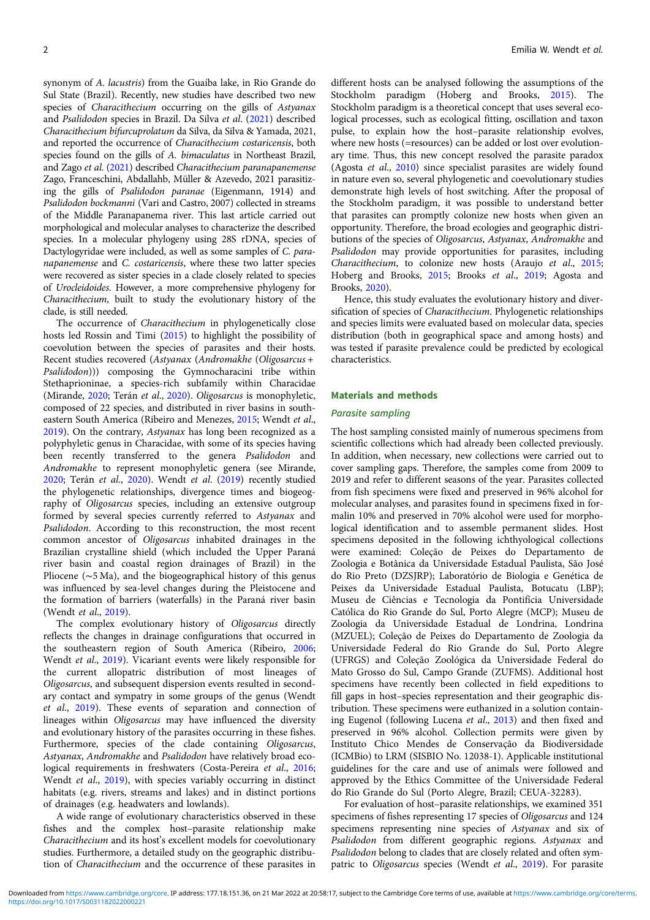synonym of A. lacustris) from the Guaíba lake, in Rio Grande do Sul State (Brazil). Recently, new studies have described two new species of Characithecium occurring on the gills of Astyanax and Psalidodon species in Brazil. Da Silva et al. ([2021\)](#page-15-0) described Characithecium bifurcuprolatum da Silva, da Silva & Yamada, 2021, and reported the occurrence of Characithecium costaricensis, both species found on the gills of A. bimaculatus in Northeast Brazil, and Zago et al. ([2021](#page-16-0)) described Characithecium paranapanemense Zago, Franceschini, Abdallahb, Müller & Azevedo, 2021 parasitizing the gills of Psalidodon paranae (Eigenmann, 1914) and Psalidodon bockmanni (Vari and Castro, 2007) collected in streams of the Middle Paranapanema river. This last article carried out morphological and molecular analyses to characterize the described species. In a molecular phylogeny using 28S rDNA, species of Dactylogyridae were included, as well as some samples of C. paranapanemense and C. costaricensis, where these two latter species were recovered as sister species in a clade closely related to species of Urocleidoides. However, a more comprehensive phylogeny for Characithecium, built to study the evolutionary history of the clade, is still needed.

The occurrence of Characithecium in phylogenetically close hosts led Rossin and Timi [\(2015](#page-16-0)) to highlight the possibility of coevolution between the species of parasites and their hosts. Recent studies recovered (Astyanax (Andromakhe (Oligosarcus + Psalidodon))) composing the Gymnocharacini tribe within Stethaprioninae, a species-rich subfamily within Characidae (Mirande, [2020;](#page-16-0) Terán et al., [2020](#page-16-0)). Oligosarcus is monophyletic, composed of 22 species, and distributed in river basins in southeastern South America (Ribeiro and Menezes, [2015](#page-16-0); Wendt et al., [2019\)](#page-16-0). On the contrary, Astyanax has long been recognized as a polyphyletic genus in Characidae, with some of its species having been recently transferred to the genera Psalidodon and Andromakhe to represent monophyletic genera (see Mirande, [2020;](#page-16-0) Terán et al., [2020](#page-16-0)). Wendt et al. [\(2019](#page-16-0)) recently studied the phylogenetic relationships, divergence times and biogeography of Oligosarcus species, including an extensive outgroup formed by several species currently referred to Astyanax and Psalidodon. According to this reconstruction, the most recent common ancestor of Oligosarcus inhabited drainages in the Brazilian crystalline shield (which included the Upper Paraná river basin and coastal region drainages of Brazil) in the Pliocene (∼5 Ma), and the biogeographical history of this genus was influenced by sea-level changes during the Pleistocene and the formation of barriers (waterfalls) in the Paraná river basin (Wendt et al., [2019](#page-16-0)).

The complex evolutionary history of Oligosarcus directly reflects the changes in drainage configurations that occurred in the southeastern region of South America (Ribeiro, [2006](#page-16-0); Wendt et al., [2019](#page-16-0)). Vicariant events were likely responsible for the current allopatric distribution of most lineages of Oligosarcus, and subsequent dispersion events resulted in secondary contact and sympatry in some groups of the genus (Wendt et al., [2019](#page-16-0)). These events of separation and connection of lineages within Oligosarcus may have influenced the diversity and evolutionary history of the parasites occurring in these fishes. Furthermore, species of the clade containing Oligosarcus, Astyanax, Andromakhe and Psalidodon have relatively broad ecological requirements in freshwaters (Costa-Pereira et al., [2016](#page-15-0); Wendt et al., [2019\)](#page-16-0), with species variably occurring in distinct habitats (e.g. rivers, streams and lakes) and in distinct portions of drainages (e.g. headwaters and lowlands).

A wide range of evolutionary characteristics observed in these fishes and the complex host–parasite relationship make Characithecium and its host's excellent models for coevolutionary studies. Furthermore, a detailed study on the geographic distribution of Characithecium and the occurrence of these parasites in

different hosts can be analysed following the assumptions of the Stockholm paradigm (Hoberg and Brooks, [2015\)](#page-15-0). The Stockholm paradigm is a theoretical concept that uses several ecological processes, such as ecological fitting, oscillation and taxon pulse, to explain how the host–parasite relationship evolves, where new hosts (=resources) can be added or lost over evolutionary time. Thus, this new concept resolved the parasite paradox (Agosta et al., [2010\)](#page-15-0) since specialist parasites are widely found in nature even so, several phylogenetic and coevolutionary studies demonstrate high levels of host switching. After the proposal of the Stockholm paradigm, it was possible to understand better that parasites can promptly colonize new hosts when given an opportunity. Therefore, the broad ecologies and geographic distributions of the species of Oligosarcus, Astyanax, Andromakhe and Psalidodon may provide opportunities for parasites, including Characithecium, to colonize new hosts (Araujo et al., [2015;](#page-15-0) Hoberg and Brooks, [2015;](#page-15-0) Brooks et al., [2019;](#page-15-0) Agosta and Brooks, [2020](#page-15-0)).

Hence, this study evaluates the evolutionary history and diversification of species of Characithecium. Phylogenetic relationships and species limits were evaluated based on molecular data, species distribution (both in geographical space and among hosts) and was tested if parasite prevalence could be predicted by ecological characteristics.

#### Materials and methods

# Parasite sampling

The host sampling consisted mainly of numerous specimens from scientific collections which had already been collected previously. In addition, when necessary, new collections were carried out to cover sampling gaps. Therefore, the samples come from 2009 to 2019 and refer to different seasons of the year. Parasites collected from fish specimens were fixed and preserved in 96% alcohol for molecular analyses, and parasites found in specimens fixed in formalin 10% and preserved in 70% alcohol were used for morphological identification and to assemble permanent slides. Host specimens deposited in the following ichthyological collections were examined: Coleção de Peixes do Departamento de Zoologia e Botânica da Universidade Estadual Paulista, São José do Rio Preto (DZSJRP); Laboratório de Biologia e Genética de Peixes da Universidade Estadual Paulista, Botucatu (LBP); Museu de Ciências e Tecnologia da Pontifícia Universidade Católica do Rio Grande do Sul, Porto Alegre (MCP); Museu de Zoologia da Universidade Estadual de Londrina, Londrina (MZUEL); Coleção de Peixes do Departamento de Zoologia da Universidade Federal do Rio Grande do Sul, Porto Alegre (UFRGS) and Coleção Zoológica da Universidade Federal do Mato Grosso do Sul, Campo Grande (ZUFMS). Additional host specimens have recently been collected in field expeditions to fill gaps in host–species representation and their geographic distribution. These specimens were euthanized in a solution containing Eugenol (following Lucena et al., [2013\)](#page-15-0) and then fixed and preserved in 96% alcohol. Collection permits were given by Instituto Chico Mendes de Conservação da Biodiversidade (ICMBio) to LRM (SISBIO No. 12038-1). Applicable institutional guidelines for the care and use of animals were followed and approved by the Ethics Committee of the Universidade Federal do Rio Grande do Sul (Porto Alegre, Brazil; CEUA-32283).

For evaluation of host–parasite relationships, we examined 351 specimens of fishes representing 17 species of Oligosarcus and 124 specimens representing nine species of Astyanax and six of Psalidodon from different geographic regions. Astyanax and Psalidodon belong to clades that are closely related and often sym-patric to Oligosarcus species (Wendt et al., [2019\)](#page-16-0). For parasite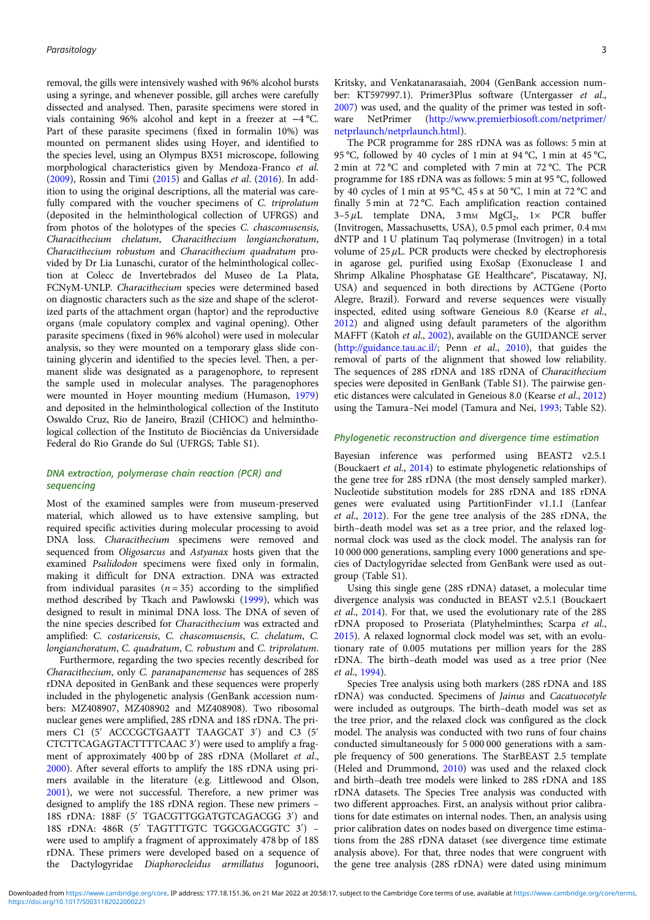removal, the gills were intensively washed with 96% alcohol bursts using a syringe, and whenever possible, gill arches were carefully dissected and analysed. Then, parasite specimens were stored in vials containing 96% alcohol and kept in a freezer at −4 °C. Part of these parasite specimens (fixed in formalin 10%) was mounted on permanent slides using Hoyer, and identified to the species level, using an Olympus BX51 microscope, following morphological characteristics given by Mendoza-Franco et al. ([2009](#page-16-0)), Rossin and Timi [\(2015](#page-16-0)) and Gallas et al. [\(2016\)](#page-15-0). In addition to using the original descriptions, all the material was carefully compared with the voucher specimens of C. triprolatum (deposited in the helminthological collection of UFRGS) and from photos of the holotypes of the species C. chascomusensis, Characithecium chelatum, Characithecium longianchoratum, Characithecium robustum and Characithecium quadratum provided by Dr Lia Lunaschi, curator of the helminthological collection at Colecc de Invertebrados del Museo de La Plata, FCNyM-UNLP. Characithecium species were determined based on diagnostic characters such as the size and shape of the sclerotized parts of the attachment organ (haptor) and the reproductive organs (male copulatory complex and vaginal opening). Other parasite specimens (fixed in 96% alcohol) were used in molecular analysis, so they were mounted on a temporary glass slide containing glycerin and identified to the species level. Then, a permanent slide was designated as a paragenophore, to represent the sample used in molecular analyses. The paragenophores were mounted in Hoyer mounting medium (Humason, [1979\)](#page-15-0) and deposited in the helminthological collection of the Instituto Oswaldo Cruz, Rio de Janeiro, Brazil (CHIOC) and helminthological collection of the Instituto de Biociências da Universidade Federal do Rio Grande do Sul (UFRGS; Table S1).

# DNA extraction, polymerase chain reaction (PCR) and sequencing

Most of the examined samples were from museum-preserved material, which allowed us to have extensive sampling, but required specific activities during molecular processing to avoid DNA loss. Characithecium specimens were removed and sequenced from Oligosarcus and Astyanax hosts given that the examined Psalidodon specimens were fixed only in formalin, making it difficult for DNA extraction. DNA was extracted from individual parasites  $(n = 35)$  according to the simplified method described by Tkach and Pawlowski [\(1999](#page-16-0)), which was designed to result in minimal DNA loss. The DNA of seven of the nine species described for Characithecium was extracted and amplified: C. costaricensis, C. chascomusensis, C. chelatum, C. longianchoratum, C. quadratum, C. robustum and C. triprolatum.

Furthermore, regarding the two species recently described for Characithecium, only C. paranapanemense has sequences of 28S rDNA deposited in GenBank and these sequences were properly included in the phylogenetic analysis (GenBank accession numbers: MZ408907, MZ408902 and MZ408908). Two ribosomal nuclear genes were amplified, 28S rDNA and 18S rDNA. The primers C1 (5′ ACCCGCTGAATT TAAGCAT 3′ ) and C3 (5′ CTCTTCAGAGTACTTTTCAAC 3′ ) were used to amplify a fragment of approximately 400 bp of 28S rDNA (Mollaret et al., [2000\)](#page-16-0). After several efforts to amplify the 18S rDNA using primers available in the literature (e.g. Littlewood and Olson, [2001\)](#page-15-0), we were not successful. Therefore, a new primer was designed to amplify the 18S rDNA region. These new primers – 18S rDNA: 188F (5′ TGACGTTGGATGTCAGACGG 3′ ) and 18S rDNA: 486R (5′ TAGTTTGTC TGGCGACGGTC 3′ ) – were used to amplify a fragment of approximately 478 bp of 18S rDNA. These primers were developed based on a sequence of the Dactylogyridae Diaphorocleidus armillatus Jogunoori,

Kritsky, and Venkatanarasaiah, 2004 (GenBank accession number: KT597997.1). Primer3Plus software (Untergasser et al., [2007](#page-16-0)) was used, and the quality of the primer was tested in software NetPrimer ([http://www.premierbiosoft.com/netprimer/](http://www.premierbiosoft.com/netprimer/netprlaunch/netprlaunch.html) [netprlaunch/netprlaunch.html\)](http://www.premierbiosoft.com/netprimer/netprlaunch/netprlaunch.html).

The PCR programme for 28S rDNA was as follows: 5 min at 95 °C, followed by 40 cycles of 1 min at 94 °C, 1 min at 45 °C, 2 min at 72 °C and completed with 7 min at 72 °C. The PCR programme for 18S rDNA was as follows: 5 min at 95 °C, followed by 40 cycles of 1 min at 95 °C, 45 s at 50 °C, 1 min at 72 °C and finally 5 min at 72 °C. Each amplification reaction contained  $3-5 \mu L$  template DNA,  $3 \text{ mM } MgCl_2$ ,  $1 \times$  PCR buffer (Invitrogen, Massachusetts, USA), 0.5 pmol each primer, 0.4 mM dNTP and 1 U platinum Taq polymerase (Invitrogen) in a total volume of  $25 \mu L$ . PCR products were checked by electrophoresis in agarose gel, purified using ExoSap (Exonuclease I and Shrimp Alkaline Phosphatase GE Healthcare®, Piscataway, NJ, USA) and sequenced in both directions by ACTGene (Porto Alegre, Brazil). Forward and reverse sequences were visually inspected, edited using software Geneious 8.0 (Kearse et al., [2012](#page-15-0)) and aligned using default parameters of the algorithm MAFFT (Katoh et al., [2002](#page-15-0)), available on the GUIDANCE server [\(http://guidance.tau.ac.il/;](http://guidance.tau.ac.il/) Penn et al., [2010\)](#page-16-0), that guides the removal of parts of the alignment that showed low reliability. The sequences of 28S rDNA and 18S rDNA of Characithecium species were deposited in GenBank (Table S1). The pairwise genetic distances were calculated in Geneious 8.0 (Kearse et al., [2012](#page-15-0)) using the Tamura–Nei model (Tamura and Nei, [1993](#page-16-0); Table S2).

# Phylogenetic reconstruction and divergence time estimation

Bayesian inference was performed using BEAST2 v2.5.1 (Bouckaert et al., [2014](#page-15-0)) to estimate phylogenetic relationships of the gene tree for 28S rDNA (the most densely sampled marker). Nucleotide substitution models for 28S rDNA and 18S rDNA genes were evaluated using PartitionFinder v1.1.1 (Lanfear et al., [2012\)](#page-15-0). For the gene tree analysis of the 28S rDNA, the birth–death model was set as a tree prior, and the relaxed lognormal clock was used as the clock model. The analysis ran for 10 000 000 generations, sampling every 1000 generations and species of Dactylogyridae selected from GenBank were used as outgroup (Table S1).

Using this single gene (28S rDNA) dataset, a molecular time divergence analysis was conducted in BEAST v2.5.1 (Bouckaert et al., [2014\)](#page-15-0). For that, we used the evolutionary rate of the 28S rDNA proposed to Proseriata (Platyhelminthes; Scarpa et al., [2015](#page-16-0)). A relaxed lognormal clock model was set, with an evolutionary rate of 0.005 mutations per million years for the 28S rDNA. The birth–death model was used as a tree prior (Nee et al., [1994](#page-16-0)).

Species Tree analysis using both markers (28S rDNA and 18S rDNA) was conducted. Specimens of Jainus and Cacatuocotyle were included as outgroups. The birth–death model was set as the tree prior, and the relaxed clock was configured as the clock model. The analysis was conducted with two runs of four chains conducted simultaneously for 5 000 000 generations with a sample frequency of 500 generations. The StarBEAST 2.5 template (Heled and Drummond, [2010](#page-15-0)) was used and the relaxed clock and birth–death tree models were linked to 28S rDNA and 18S rDNA datasets. The Species Tree analysis was conducted with two different approaches. First, an analysis without prior calibrations for date estimates on internal nodes. Then, an analysis using prior calibration dates on nodes based on divergence time estimations from the 28S rDNA dataset (see divergence time estimate analysis above). For that, three nodes that were congruent with the gene tree analysis (28S rDNA) were dated using minimum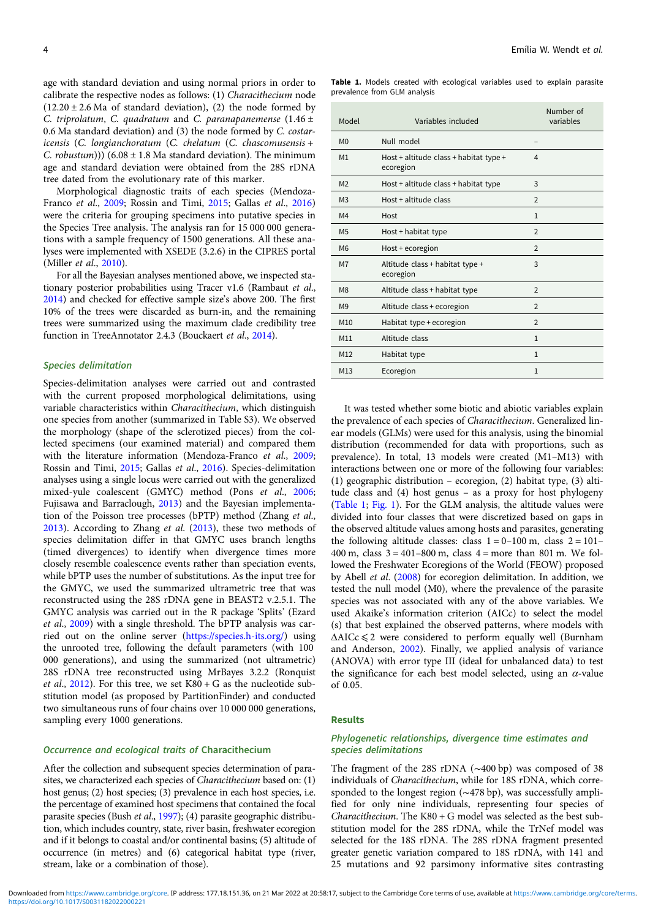age with standard deviation and using normal priors in order to calibrate the respective nodes as follows: (1) Characithecium node  $(12.20 \pm 2.6 \text{ Ma of standard deviation})$ , (2) the node formed by C. triprolatum, C. quadratum and C. paranapanemense  $(1.46 \pm$ 0.6 Ma standard deviation) and (3) the node formed by C. costaricensis (C. longianchoratum (C. chelatum (C. chascomusensis + C. robustum)))  $(6.08 \pm 1.8 \text{ Ma standard deviation})$ . The minimum age and standard deviation were obtained from the 28S rDNA tree dated from the evolutionary rate of this marker.

Morphological diagnostic traits of each species (Mendoza-Franco et al., [2009](#page-16-0); Rossin and Timi, [2015](#page-16-0); Gallas et al., [2016\)](#page-15-0) were the criteria for grouping specimens into putative species in the Species Tree analysis. The analysis ran for 15 000 000 generations with a sample frequency of 1500 generations. All these analyses were implemented with XSEDE (3.2.6) in the CIPRES portal (Miller et al., [2010](#page-16-0)).

For all the Bayesian analyses mentioned above, we inspected stationary posterior probabilities using Tracer v1.6 (Rambaut et al., [2014\)](#page-16-0) and checked for effective sample size's above 200. The first 10% of the trees were discarded as burn-in, and the remaining trees were summarized using the maximum clade credibility tree function in TreeAnnotator 2.4.3 (Bouckaert et al., [2014\)](#page-15-0).

#### Species delimitation

Species-delimitation analyses were carried out and contrasted with the current proposed morphological delimitations, using variable characteristics within Characithecium, which distinguish one species from another (summarized in Table S3). We observed the morphology (shape of the sclerotized pieces) from the collected specimens (our examined material) and compared them with the literature information (Mendoza-Franco et al., [2009](#page-16-0); Rossin and Timi, [2015](#page-16-0); Gallas et al., [2016\)](#page-15-0). Species-delimitation analyses using a single locus were carried out with the generalized mixed-yule coalescent (GMYC) method (Pons et al., [2006](#page-16-0); Fujisawa and Barraclough, [2013\)](#page-15-0) and the Bayesian implementation of the Poisson tree processes (bPTP) method (Zhang et al., [2013\)](#page-16-0). According to Zhang et al. ([2013\)](#page-16-0), these two methods of species delimitation differ in that GMYC uses branch lengths (timed divergences) to identify when divergence times more closely resemble coalescence events rather than speciation events, while bPTP uses the number of substitutions. As the input tree for the GMYC, we used the summarized ultrametric tree that was reconstructed using the 28S rDNA gene in BEAST2 v.2.5.1. The GMYC analysis was carried out in the R package 'Splits' (Ezard et al., [2009](#page-15-0)) with a single threshold. The bPTP analysis was carried out on the online server [\(https://species.h-its.org/](https://species.h-its.org/)) using the unrooted tree, following the default parameters (with 100 000 generations), and using the summarized (not ultrametric) 28S rDNA tree reconstructed using MrBayes 3.2.2 (Ronquist et al., [2012\)](#page-16-0). For this tree, we set  $K80 + G$  as the nucleotide substitution model (as proposed by PartitionFinder) and conducted two simultaneous runs of four chains over 10 000 000 generations, sampling every 1000 generations.

#### Occurrence and ecological traits of Characithecium

After the collection and subsequent species determination of parasites, we characterized each species of Characithecium based on: (1) host genus; (2) host species; (3) prevalence in each host species, i.e. the percentage of examined host specimens that contained the focal parasite species (Bush et al., [1997\)](#page-15-0); (4) parasite geographic distribution, which includes country, state, river basin, freshwater ecoregion and if it belongs to coastal and/or continental basins; (5) altitude of occurrence (in metres) and (6) categorical habitat type (river, stream, lake or a combination of those).

Table 1. Models created with ecological variables used to explain parasite prevalence from GLM analysis

| Model          | Variables included                                  | Number of<br>variables |
|----------------|-----------------------------------------------------|------------------------|
| M <sub>0</sub> | Null model                                          |                        |
| M <sub>1</sub> | Host + altitude class + habitat type +<br>ecoregion | 4                      |
| M <sub>2</sub> | Host + altitude class + habitat type                | 3                      |
| M <sub>3</sub> | Host + altitude class                               | 2                      |
| M4             | Host                                                | $\mathbf{1}$           |
| M <sub>5</sub> | Host + habitat type                                 | $\overline{2}$         |
| M <sub>6</sub> | Host + ecoregion                                    | $\overline{2}$         |
| M <sub>7</sub> | Altitude class + habitat type +<br>ecoregion        | 3                      |
| M <sub>8</sub> | Altitude class + habitat type                       | $\overline{2}$         |
| M9             | Altitude class + ecoregion                          | $\overline{2}$         |
| M10            | Habitat type + ecoregion                            | $\overline{2}$         |
| M11            | Altitude class                                      | $\mathbf{1}$           |
| M12            | Habitat type                                        | $\mathbf{1}$           |
| M13            | Ecoregion                                           | $\mathbf{1}$           |

It was tested whether some biotic and abiotic variables explain the prevalence of each species of Characithecium. Generalized linear models (GLMs) were used for this analysis, using the binomial distribution (recommended for data with proportions, such as prevalence). In total, 13 models were created (M1–M13) with interactions between one or more of the following four variables: (1) geographic distribution – ecoregion, (2) habitat type, (3) altitude class and (4) host genus – as a proxy for host phylogeny (Table 1; [Fig. 1\)](#page-4-0). For the GLM analysis, the altitude values were divided into four classes that were discretized based on gaps in the observed altitude values among hosts and parasites, generating the following altitude classes: class  $1 = 0-100$  m, class  $2 = 101-$ 400 m, class  $3 = 401 - 800$  m, class  $4 =$  more than 801 m. We followed the Freshwater Ecoregions of the World (FEOW) proposed by Abell et al. [\(2008](#page-15-0)) for ecoregion delimitation. In addition, we tested the null model (M0), where the prevalence of the parasite species was not associated with any of the above variables. We used Akaike's information criterion (AICc) to select the model (s) that best explained the observed patterns, where models with ΔAICc ⩽ 2 were considered to perform equally well (Burnham and Anderson, [2002\)](#page-15-0). Finally, we applied analysis of variance (ANOVA) with error type III (ideal for unbalanced data) to test the significance for each best model selected, using an  $\alpha$ -value of 0.05.

#### Results

# Phylogenetic relationships, divergence time estimates and species delimitations

The fragment of the 28S rDNA (∼400 bp) was composed of 38 individuals of Characithecium, while for 18S rDNA, which corresponded to the longest region (∼478 bp), was successfully amplified for only nine individuals, representing four species of Characithecium. The K80 + G model was selected as the best substitution model for the 28S rDNA, while the TrNef model was selected for the 18S rDNA. The 28S rDNA fragment presented greater genetic variation compared to 18S rDNA, with 141 and 25 mutations and 92 parsimony informative sites contrasting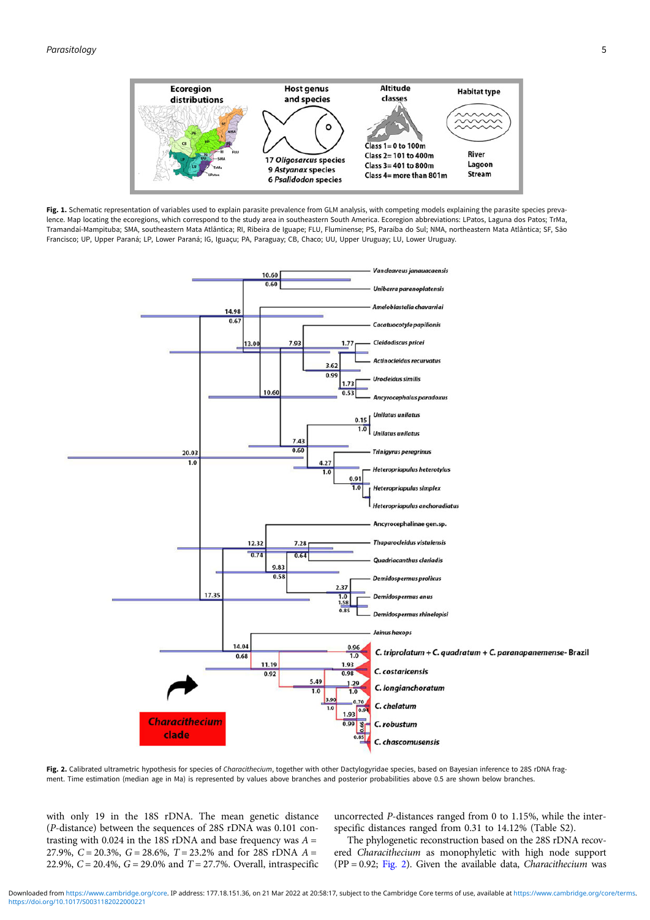<span id="page-4-0"></span>

Fig. 1. Schematic representation of variables used to explain parasite prevalence from GLM analysis, with competing models explaining the parasite species prevalence. Map locating the ecoregions, which correspond to the study area in southeastern South America. Ecoregion abbreviations: LPatos, Laguna dos Patos; TrMa, Tramandaí-Mampituba; SMA, southeastern Mata Atlântica; RI, Ribeira de Iguape; FLU, Fluminense; PS, Paraíba do Sul; NMA, northeastern Mata Atlântica; SF, São Francisco; UP, Upper Paraná; LP, Lower Paraná; IG, Iguaçu; PA, Paraguay; CB, Chaco; UU, Upper Uruguay; LU, Lower Uruguay.



Fig. 2. Calibrated ultrametric hypothesis for species of Characithecium, together with other Dactylogyridae species, based on Bayesian inference to 28S rDNA fragment. Time estimation (median age in Ma) is represented by values above branches and posterior probabilities above 0.5 are shown below branches.

with only 19 in the 18S rDNA. The mean genetic distance (P-distance) between the sequences of 28S rDNA was 0.101 contrasting with 0.024 in the 18S rDNA and base frequency was  $A =$ 27.9%,  $C = 20.3$ %,  $G = 28.6$ %,  $T = 23.2$ % and for 28S rDNA  $A =$ 22.9%,  $C = 20.4$ %,  $G = 29.0$ % and  $T = 27.7$ %. Overall, intraspecific uncorrected P-distances ranged from 0 to 1.15%, while the interspecific distances ranged from 0.31 to 14.12% (Table S2).

The phylogenetic reconstruction based on the 28S rDNA recovered Characithecium as monophyletic with high node support (PP = 0.92; Fig. 2). Given the available data, *Characithecium* was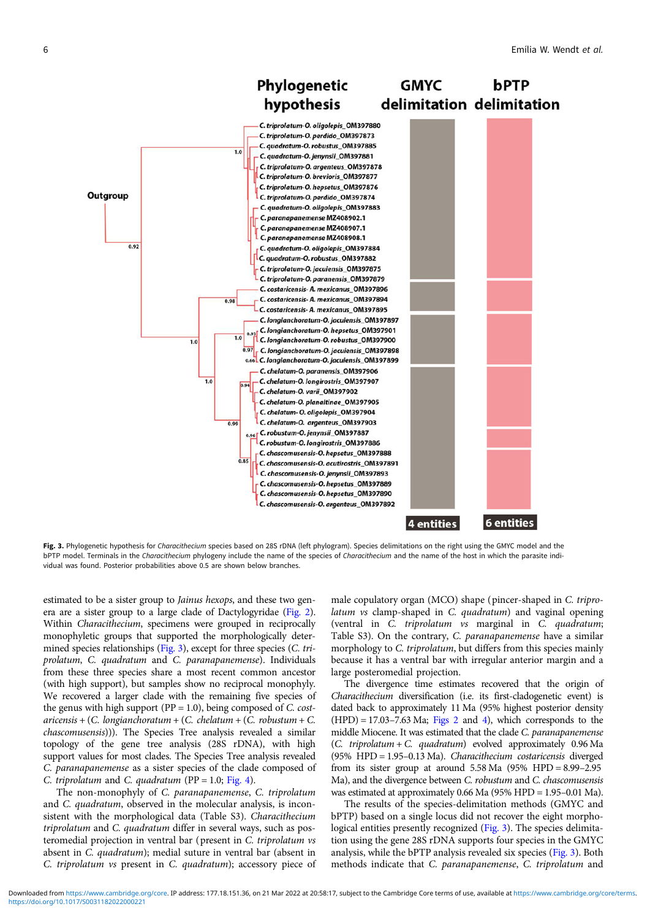<span id="page-5-0"></span>

Fig. 3. Phylogenetic hypothesis for Characithecium species based on 28S rDNA (left phylogram). Species delimitations on the right using the GMYC model and the bPTP model. Terminals in the Characithecium phylogeny include the name of the species of Characithecium and the name of the host in which the parasite individual was found. Posterior probabilities above 0.5 are shown below branches.

estimated to be a sister group to Jainus hexops, and these two genera are a sister group to a large clade of Dactylogyridae [\(Fig. 2\)](#page-4-0). Within Characithecium, specimens were grouped in reciprocally monophyletic groups that supported the morphologically determined species relationships (Fig. 3), except for three species (C. triprolatum, C. quadratum and C. paranapanemense). Individuals from these three species share a most recent common ancestor (with high support), but samples show no reciprocal monophyly. We recovered a larger clade with the remaining five species of the genus with high support ( $PP = 1.0$ ), being composed of C. cost $aricensis + (C. longianchoratum + (C. chelatum + (C. robustum + C.$ chascomusensis))). The Species Tree analysis revealed a similar topology of the gene tree analysis (28S rDNA), with high support values for most clades. The Species Tree analysis revealed C. paranapanemense as a sister species of the clade composed of C. triprolatum and C. quadratum (PP = 1.0; [Fig. 4\)](#page-6-0).

The non-monophyly of C. paranapanemense, C. triprolatum and C. quadratum, observed in the molecular analysis, is inconsistent with the morphological data (Table S3). Characithecium triprolatum and C. quadratum differ in several ways, such as posteromedial projection in ventral bar (present in C. triprolatum vs absent in C. quadratum); medial suture in ventral bar (absent in C. triprolatum vs present in C. quadratum); accessory piece of

male copulatory organ (MCO) shape (pincer-shaped in C. triprolatum vs clamp-shaped in C. quadratum) and vaginal opening (ventral in C. triprolatum vs marginal in C. quadratum; Table S3). On the contrary, C. paranapanemense have a similar morphology to C. triprolatum, but differs from this species mainly because it has a ventral bar with irregular anterior margin and a large posteromedial projection.

The divergence time estimates recovered that the origin of Characithecium diversification (i.e. its first-cladogenetic event) is dated back to approximately 11 Ma (95% highest posterior density  $(HPD) = 17.03 - 7.63$  Ma; [Figs 2](#page-4-0) and [4](#page-6-0)), which corresponds to the middle Miocene. It was estimated that the clade C. paranapanemense  $(C.$  triprolatum +  $C.$  quadratum) evolved approximately 0.96 Ma (95% HPD = 1.95–0.13 Ma). Characithecium costaricensis diverged from its sister group at around  $5.58$  Ma  $(95\%$  HPD =  $8.99-2.95$ Ma), and the divergence between C. robustum and C. chascomusensis was estimated at approximately 0.66 Ma (95% HPD = 1.95–0.01 Ma).

The results of the species-delimitation methods (GMYC and bPTP) based on a single locus did not recover the eight morphological entities presently recognized (Fig. 3). The species delimitation using the gene 28S rDNA supports four species in the GMYC analysis, while the bPTP analysis revealed six species (Fig. 3). Both methods indicate that C. paranapanemense, C. triprolatum and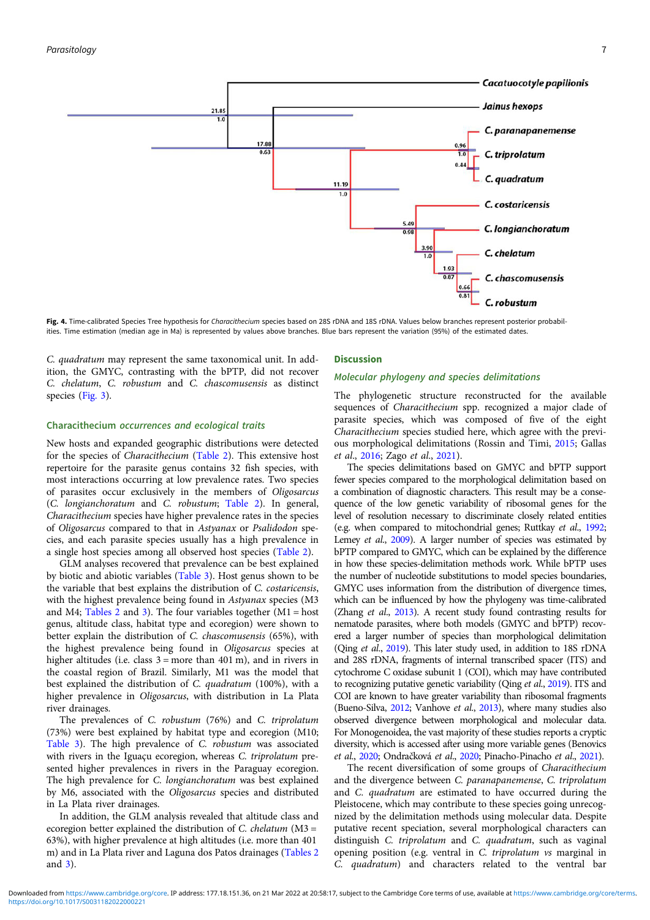<span id="page-6-0"></span>

Fig. 4. Time-calibrated Species Tree hypothesis for Characithecium species based on 28S rDNA and 18S rDNA. Values below branches represent posterior probabilities. Time estimation (median age in Ma) is represented by values above branches. Blue bars represent the variation (95%) of the estimated dates.

C. quadratum may represent the same taxonomical unit. In addition, the GMYC, contrasting with the bPTP, did not recover C. chelatum, C. robustum and C. chascomusensis as distinct species [\(Fig. 3\)](#page-5-0).

# Characithecium occurrences and ecological traits

New hosts and expanded geographic distributions were detected for the species of Characithecium ([Table 2\)](#page-7-0). This extensive host repertoire for the parasite genus contains 32 fish species, with most interactions occurring at low prevalence rates. Two species of parasites occur exclusively in the members of Oligosarcus (C. longianchoratum and C. robustum; [Table 2\)](#page-7-0). In general, Characithecium species have higher prevalence rates in the species of Oligosarcus compared to that in Astyanax or Psalidodon species, and each parasite species usually has a high prevalence in a single host species among all observed host species [\(Table 2\)](#page-7-0).

GLM analyses recovered that prevalence can be best explained by biotic and abiotic variables [\(Table 3\)](#page-13-0). Host genus shown to be the variable that best explains the distribution of C. costaricensis, with the highest prevalence being found in Astyanax species (M3 and M4; [Tables 2](#page-7-0) and [3\)](#page-13-0). The four variables together  $(M1 = host$ genus, altitude class, habitat type and ecoregion) were shown to better explain the distribution of C. chascomusensis (65%), with the highest prevalence being found in Oligosarcus species at higher altitudes (i.e. class  $3 = more than 401 m$ ), and in rivers in the coastal region of Brazil. Similarly, M1 was the model that best explained the distribution of C. quadratum (100%), with a higher prevalence in Oligosarcus, with distribution in La Plata river drainages.

The prevalences of C. robustum (76%) and C. triprolatum (73%) were best explained by habitat type and ecoregion (M10; [Table 3\)](#page-13-0). The high prevalence of C. robustum was associated with rivers in the Iguaçu ecoregion, whereas C. triprolatum presented higher prevalences in rivers in the Paraguay ecoregion. The high prevalence for C. longianchoratum was best explained by M6, associated with the Oligosarcus species and distributed in La Plata river drainages.

In addition, the GLM analysis revealed that altitude class and ecoregion better explained the distribution of C. chelatum (M3 = 63%), with higher prevalence at high altitudes (i.e. more than 401 m) and in La Plata river and Laguna dos Patos drainages ([Tables 2](#page-7-0) and [3\)](#page-13-0).

#### **Discussion**

#### Molecular phylogeny and species delimitations

The phylogenetic structure reconstructed for the available sequences of Characithecium spp. recognized a major clade of parasite species, which was composed of five of the eight Characithecium species studied here, which agree with the previous morphological delimitations (Rossin and Timi, [2015;](#page-16-0) Gallas et al., [2016](#page-15-0); Zago et al., [2021](#page-16-0)).

The species delimitations based on GMYC and bPTP support fewer species compared to the morphological delimitation based on a combination of diagnostic characters. This result may be a consequence of the low genetic variability of ribosomal genes for the level of resolution necessary to discriminate closely related entities (e.g. when compared to mitochondrial genes; Ruttkay et al., [1992](#page-16-0); Lemey et al., [2009](#page-15-0)). A larger number of species was estimated by bPTP compared to GMYC, which can be explained by the difference in how these species-delimitation methods work. While bPTP uses the number of nucleotide substitutions to model species boundaries, GMYC uses information from the distribution of divergence times, which can be influenced by how the phylogeny was time-calibrated (Zhang et al., [2013\)](#page-16-0). A recent study found contrasting results for nematode parasites, where both models (GMYC and bPTP) recovered a larger number of species than morphological delimitation (Qing et al., [2019](#page-16-0)). This later study used, in addition to 18S rDNA and 28S rDNA, fragments of internal transcribed spacer (ITS) and cytochrome C oxidase subunit 1 (COI), which may have contributed to recognizing putative genetic variability (Qing et al., [2019](#page-16-0)). ITS and COI are known to have greater variability than ribosomal fragments (Bueno-Silva, [2012](#page-15-0); Vanhove et al., [2013](#page-16-0)), where many studies also observed divergence between morphological and molecular data. For Monogenoidea, the vast majority of these studies reports a cryptic diversity, which is accessed after using more variable genes (Benovics et al., [2020](#page-15-0); Ondračková et al., [2020;](#page-16-0) Pinacho-Pinacho et al., [2021](#page-16-0)).

The recent diversification of some groups of Characithecium and the divergence between C. paranapanemense, C. triprolatum and C. quadratum are estimated to have occurred during the Pleistocene, which may contribute to these species going unrecognized by the delimitation methods using molecular data. Despite putative recent speciation, several morphological characters can distinguish C. triprolatum and C. quadratum, such as vaginal opening position (e.g. ventral in C. triprolatum vs marginal in C. quadratum) and characters related to the ventral bar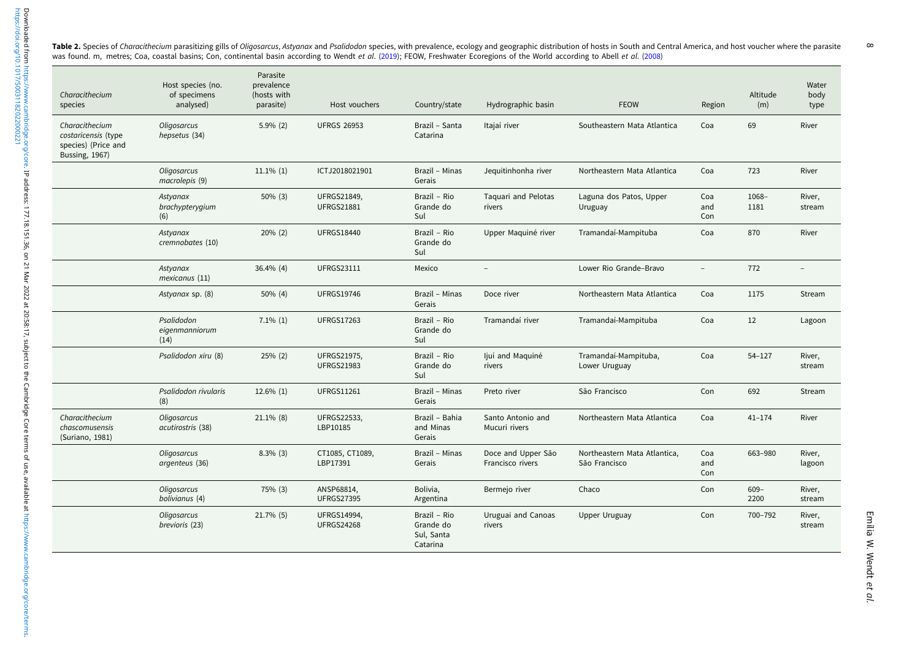<span id="page-7-0"></span>Table 2. Species of Characithecium parasitizing gills of Oligosarcus, Astyanax and Psalidodon species, with prevalence, ecology and geographic distribution of hosts in South and Central America, and host voucher where the was found. m, metres; Coa, coastal basins; Con, continental basin according to Wendt et al. ([2019](#page-16-0)); FEOW, Freshwater Ecoregions of the World according to Abell et al. ([2008](#page-15-0))  $\infty$ 

| Characithecium<br>species                                                      | Host species (no.<br>of specimens<br>analysed) | Parasite<br>prevalence<br>(hosts with<br>parasite) | Host vouchers                           | Country/state                                       | Hydrographic basin                     | <b>FEOW</b>                                   | Region            | Altitude<br>(m) | Water<br>body<br>type |
|--------------------------------------------------------------------------------|------------------------------------------------|----------------------------------------------------|-----------------------------------------|-----------------------------------------------------|----------------------------------------|-----------------------------------------------|-------------------|-----------------|-----------------------|
| Characithecium<br>costaricensis (type<br>species) (Price and<br>Bussing, 1967) | Oligosarcus<br>hepsetus (34)                   | $5.9\%$ (2)                                        | <b>UFRGS 26953</b>                      | Brazil - Santa<br>Catarina                          | Itajaí river                           | Southeastern Mata Atlantica                   | Coa               | 69              | River                 |
|                                                                                | Oligosarcus<br>macrolepis (9)                  | $11.1\%$ (1)                                       | ICTJ2018021901                          | Brazil - Minas<br>Gerais                            | Jequitinhonha river                    | Northeastern Mata Atlantica                   | Coa               | 723             | River                 |
|                                                                                | Astyanax<br>brachypterygium<br>(6)             | $50\%$ (3)                                         | <b>UFRGS21849,</b><br><b>UFRGS21881</b> | Brazil - Rio<br>Grande do<br>Sul                    | Taquari and Pelotas<br>rivers          | Laguna dos Patos, Upper<br>Uruguay            | Coa<br>and<br>Con | 1068-<br>1181   | River,<br>stream      |
|                                                                                | Astyanax<br>cremnobates (10)                   | 20% (2)                                            | <b>UFRGS18440</b>                       | Brazil - Rio<br>Grande do<br>Sul                    | Upper Maquiné river                    | Tramandaí-Mampituba                           | Coa               | 870             | River                 |
|                                                                                | Astyanax<br>mexicanus (11)                     | 36.4% (4)                                          | <b>UFRGS23111</b>                       | Mexico                                              | $\qquad \qquad -$                      | Lower Rio Grande-Bravo                        | $-$               | 772             | $\qquad \qquad -$     |
|                                                                                | Astyanax sp. (8)                               | 50% (4)                                            | <b>UFRGS19746</b>                       | Brazil - Minas<br>Gerais                            | Doce river                             | Northeastern Mata Atlantica                   | Coa               | 1175            | Stream                |
|                                                                                | Psalidodon<br>eigenmanniorum<br>(14)           | $7.1\%$ (1)                                        | <b>UFRGS17263</b>                       | Brazil - Rio<br>Grande do<br>Sul                    | Tramandaí river                        | Tramandaí-Mampituba                           | Coa               | 12              | Lagoon                |
|                                                                                | Psalidodon xiru (8)                            | 25% (2)                                            | <b>UFRGS21975,</b><br><b>UFRGS21983</b> | Brazil - Rio<br>Grande do<br>Sul                    | ljuí and Maquiné<br>rivers             | Tramandaí-Mampituba,<br>Lower Uruguay         | Coa               | $54 - 127$      | River,<br>stream      |
|                                                                                | Psalidodon rivularis<br>(8)                    | $12.6\%$ (1)                                       | <b>UFRGS11261</b>                       | Brazil - Minas<br>Gerais                            | Preto river                            | São Francisco                                 | Con               | 692             | Stream                |
| Characithecium<br>chascomusensis<br>(Suriano, 1981)                            | Oligosarcus<br>acutirostris (38)               | $21.1\%$ (8)                                       | UFRGS22533,<br>LBP10185                 | Brazil - Bahia<br>and Minas<br>Gerais               | Santo Antonio and<br>Mucuri rivers     | Northeastern Mata Atlantica                   | Coa               | $41 - 174$      | River                 |
|                                                                                | Oligosarcus<br>argenteus (36)                  | $8.3\%$ (3)                                        | CT1085, CT1089,<br>LBP17391             | Brazil - Minas<br>Gerais                            | Doce and Upper São<br>Francisco rivers | Northeastern Mata Atlantica,<br>São Francisco | Coa<br>and<br>Con | 663-980         | River,<br>lagoon      |
|                                                                                | Oligosarcus<br>bolivianus (4)                  | 75% (3)                                            | ANSP68814,<br><b>UFRGS27395</b>         | Bolivia,<br>Argentina                               | Bermejo river                          | Chaco                                         | Con               | $609 -$<br>2200 | River,<br>stream      |
|                                                                                | Oligosarcus<br>brevioris (23)                  | 21.7% (5)                                          | <b>UFRGS14994,</b><br><b>UFRGS24268</b> | Brazil - Rio<br>Grande do<br>Sul, Santa<br>Catarina | Uruguai and Canoas<br>rivers           | Upper Uruguay                                 | Con               | 700-792         | River,<br>stream      |

Emília W. Wendt Emilia W. Wendt et al.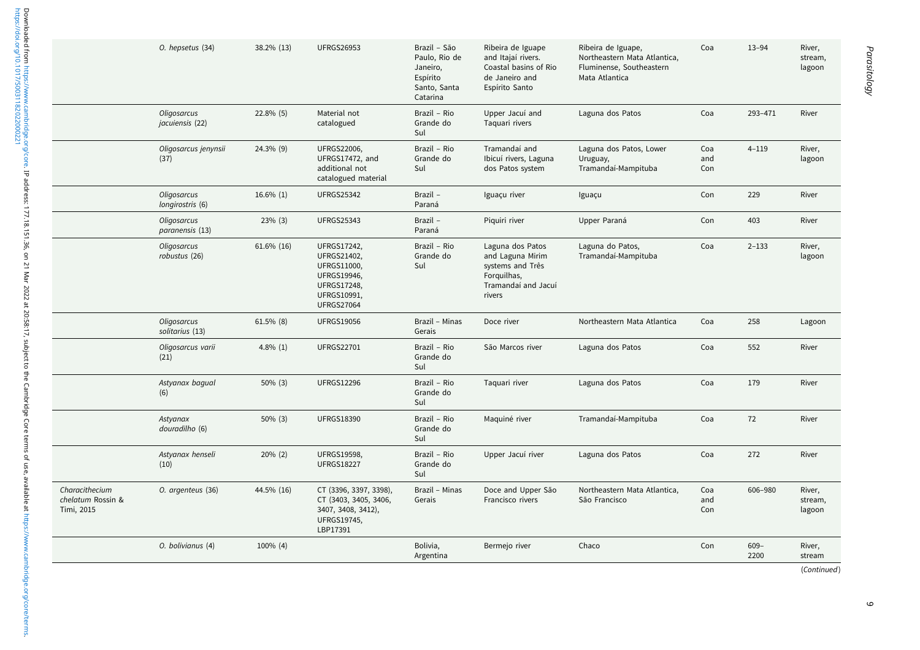|                                                   | O. hepsetus (34)                | 38.2% (13)    | <b>UFRGS26953</b>                                                                                                                | Brazil - São<br>Paulo, Rio de<br>Janeiro,<br>Espírito<br>Santo, Santa<br>Catarina | Ribeira de Iguape<br>and Itajaí rivers.<br>Coastal basins of Rio<br>de Janeiro and<br>Espírito Santo     | Ribeira de Iguape,<br>Northeastern Mata Atlantica,<br>Fluminense, Southeastern<br>Mata Atlantica | Coa               | $13 - 94$       | River,<br>stream,<br>lagoon |
|---------------------------------------------------|---------------------------------|---------------|----------------------------------------------------------------------------------------------------------------------------------|-----------------------------------------------------------------------------------|----------------------------------------------------------------------------------------------------------|--------------------------------------------------------------------------------------------------|-------------------|-----------------|-----------------------------|
|                                                   | Oligosarcus<br>jacuiensis (22)  | 22.8% (5)     | Material not<br>catalogued                                                                                                       | Brazil - Rio<br>Grande do<br>Sul                                                  | Upper Jacuí and<br>Taquari rivers                                                                        | Laguna dos Patos                                                                                 | Coa               | 293-471         | River                       |
|                                                   | Oligosarcus jenynsii<br>(37)    | 24.3% (9)     | <b>UFRGS22006,</b><br>UFRGS17472, and<br>additional not<br>catalogued material                                                   | Brazil - Rio<br>Grande do<br>Sul                                                  | Tramandaí and<br>Ibicuí rivers, Laguna<br>dos Patos system                                               | Laguna dos Patos, Lower<br>Uruguay,<br>Tramandaí-Mampituba                                       | Coa<br>and<br>Con | $4 - 119$       | River,<br>lagoon            |
|                                                   | Oligosarcus<br>longirostris (6) | $16.6\%$ (1)  | <b>UFRGS25342</b>                                                                                                                | Brazil -<br>Paraná                                                                | Iguaçu river                                                                                             | Iguaçu                                                                                           | Con               | 229             | River                       |
|                                                   | Oligosarcus<br>paranensis (13)  | $23\%$ (3)    | <b>UFRGS25343</b>                                                                                                                | Brazil -<br>Paraná                                                                | Piquiri river                                                                                            | Upper Paraná                                                                                     | Con               | 403             | River                       |
|                                                   | Oligosarcus<br>robustus (26)    | $61.6\%$ (16) | <b>UFRGS17242,</b><br>UFRGS21402,<br>UFRGS11000,<br><b>UFRGS19946,</b><br><b>UFRGS17248,</b><br>UFRGS10991,<br><b>UFRGS27064</b> | Brazil - Rio<br>Grande do<br>Sul                                                  | Laguna dos Patos<br>and Laguna Mirim<br>systems and Três<br>Forguilhas,<br>Tramandaí and Jacuí<br>rivers | Laguna do Patos,<br>Tramandaí-Mampituba                                                          | Coa               | $2 - 133$       | River,<br>lagoon            |
|                                                   | Oligosarcus<br>solitarius (13)  | $61.5\%$ (8)  | <b>UFRGS19056</b>                                                                                                                | Brazil - Minas<br>Gerais                                                          | Doce river                                                                                               | Northeastern Mata Atlantica                                                                      | Coa               | 258             | Lagoon                      |
|                                                   | Oligosarcus varii<br>(21)       | $4.8\%$ (1)   | <b>UFRGS22701</b>                                                                                                                | Brazil - Rio<br>Grande do<br>Sul                                                  | São Marcos river                                                                                         | Laguna dos Patos                                                                                 | Coa               | 552             | River                       |
|                                                   | Astyanax bagual<br>(6)          | 50% (3)       | <b>UFRGS12296</b>                                                                                                                | Brazil - Rio<br>Grande do<br>Sul                                                  | Taquari river                                                                                            | Laguna dos Patos                                                                                 | Coa               | 179             | River                       |
|                                                   | Astyanax<br>douradilho (6)      | $50\%$ (3)    | <b>UFRGS18390</b>                                                                                                                | Brazil - Rio<br>Grande do<br>Sul                                                  | Maquiné river                                                                                            | Tramandaí-Mampituba                                                                              | Coa               | 72              | River                       |
|                                                   | Astyanax henseli<br>(10)        | $20\%$ (2)    | <b>UFRGS19598,</b><br><b>UFRGS18227</b>                                                                                          | Brazil - Rio<br>Grande do<br>Sul                                                  | Upper Jacuí river                                                                                        | Laguna dos Patos                                                                                 | Coa               | 272             | River                       |
| Characithecium<br>chelatum Rossin &<br>Timi, 2015 | O. argenteus (36)               | 44.5% (16)    | CT (3396, 3397, 3398),<br>CT (3403, 3405, 3406,<br>3407, 3408, 3412),<br>UFRGS19745,<br>LBP17391                                 | Brazil - Minas<br>Gerais                                                          | Doce and Upper São<br>Francisco rivers                                                                   | Northeastern Mata Atlantica,<br>São Francisco                                                    | Coa<br>and<br>Con | 606-980         | River,<br>stream,<br>lagoon |
|                                                   | O. bolivianus (4)               | 100% (4)      |                                                                                                                                  | Bolivia,<br>Argentina                                                             | Bermejo river                                                                                            | Chaco                                                                                            | Con               | $609 -$<br>2200 | River,<br>stream            |
|                                                   |                                 |               |                                                                                                                                  |                                                                                   |                                                                                                          |                                                                                                  |                   |                 | (Continued)                 |

 $\circ$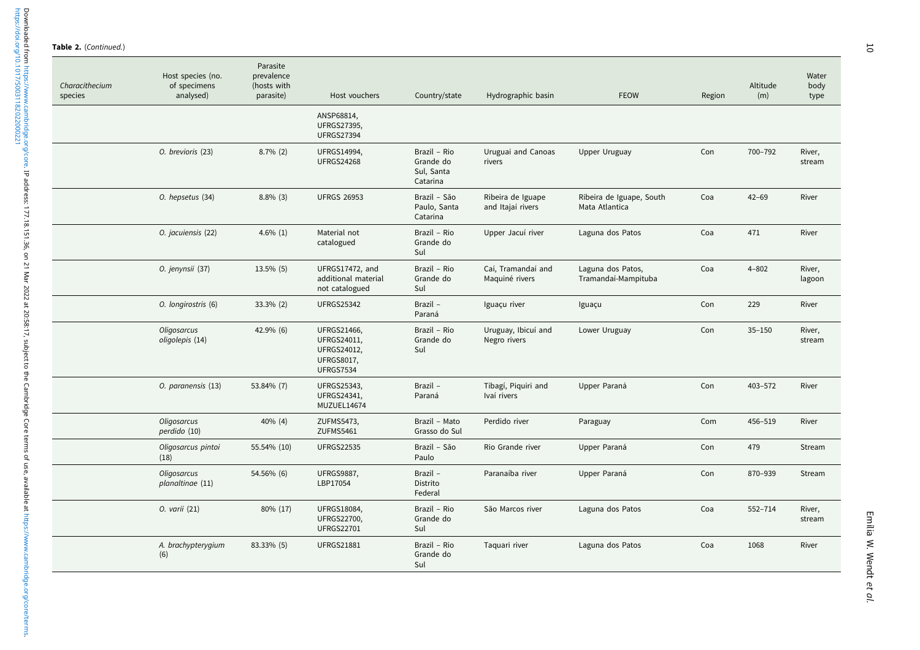Table 2. (Continued.)

<https://doi.org/10.1017/S0031182022000221>

Downloaded from https://www.cambridge.org/core. IP address: 177.18.151.36, on 21 Mar 202 at 20:58:17, subject to the Cambridge Core terms of use, available at https://www.cambridge.org/core/terms.<br>https://doi.org/10.1017/5 Downloaded from<https://www.cambridge.org/core>. IP address: 177.18.151.36, on 21 Mar 2022 at 20:58:17, subject to the Cambridge Core terms of use, available at <https://www.cambridge.org/core/terms>.

| Characithecium<br>species | Host species (no.<br>of specimens<br>analysed) | Parasite<br>prevalence<br>(hosts with<br>parasite) | Host vouchers                                                                             | Country/state                                       | Hydrographic basin                     | <b>FEOW</b>                                | Region | Altitude<br>(m) | Water<br>body<br>type |
|---------------------------|------------------------------------------------|----------------------------------------------------|-------------------------------------------------------------------------------------------|-----------------------------------------------------|----------------------------------------|--------------------------------------------|--------|-----------------|-----------------------|
|                           |                                                |                                                    | ANSP68814,<br><b>UFRGS27395,</b><br><b>UFRGS27394</b>                                     |                                                     |                                        |                                            |        |                 |                       |
|                           | O. brevioris (23)                              | $8.7\%$ (2)                                        | <b>UFRGS14994,</b><br><b>UFRGS24268</b>                                                   | Brazil - Rio<br>Grande do<br>Sul, Santa<br>Catarina | Uruguai and Canoas<br>rivers           | <b>Upper Uruguay</b>                       | Con    | 700-792         | River,<br>stream      |
|                           | O. hepsetus (34)                               | $8.8\%$ (3)                                        | <b>UFRGS 26953</b>                                                                        | Brazil - São<br>Paulo, Santa<br>Catarina            | Ribeira de Iguape<br>and Itajaí rivers | Ribeira de Iguape, South<br>Mata Atlantica | Coa    | $42 - 69$       | River                 |
|                           | O. jacuiensis (22)                             | 4.6% $(1)$                                         | Material not<br>catalogued                                                                | Brazil - Rio<br>Grande do<br>Sul                    | Upper Jacuí river                      | Laguna dos Patos                           | Coa    | 471             | River                 |
|                           | O. jenynsii (37)                               | 13.5% (5)                                          | UFRGS17472, and<br>additional material<br>not catalogued                                  | Brazil - Rio<br>Grande do<br>Sul                    | Caí, Tramandaí and<br>Maquiné rivers   | Laguna dos Patos,<br>Tramandaí-Mampituba   | Coa    | $4 - 802$       | River,<br>lagoon      |
|                           | O. longirostris (6)                            | 33.3% (2)                                          | <b>UFRGS25342</b>                                                                         | Brazil -<br>Paraná                                  | Iguaçu river                           | Iguaçu                                     | Con    | 229             | River                 |
|                           | Oligosarcus<br>oligolepis (14)                 | 42.9% (6)                                          | UFRGS21466,<br>UFRGS24011,<br><b>UFRGS24012,</b><br><b>UFRGS8017,</b><br><b>UFRGS7534</b> | Brazil - Rio<br>Grande do<br>Sul                    | Uruguay, Ibicuí and<br>Negro rivers    | Lower Uruguay                              | Con    | $35 - 150$      | River,<br>stream      |
|                           | O. paranensis (13)                             | 53.84% (7)                                         | <b>UFRGS25343,</b><br>UFRGS24341,<br>MUZUEL14674                                          | Brazil -<br>Paraná                                  | Tibagí, Piquiri and<br>Ivaí rivers     | Upper Paraná                               | Con    | 403-572         | River                 |
|                           | Oligosarcus<br>perdido (10)                    | $40\%$ (4)                                         | ZUFMS5473,<br>ZUFMS5461                                                                   | Brazil - Mato<br>Grasso do Sul                      | Perdido river                          | Paraguay                                   | Com    | 456-519         | River                 |
|                           | Oligosarcus pintoi<br>(18)                     | 55.54% (10)                                        | <b>UFRGS22535</b>                                                                         | Brazil - São<br>Paulo                               | Rio Grande river                       | Upper Paraná                               | Con    | 479             | Stream                |
|                           | Oligosarcus<br>planaltinae (11)                | 54.56% (6)                                         | <b>UFRGS9887,</b><br>LBP17054                                                             | Brazil -<br>Distrito<br>Federal                     | Paranaíba river                        | Upper Paraná                               | Con    | 870-939         | Stream                |
|                           | 0. varii (21)                                  | 80% (17)                                           | <b>UFRGS18084,</b><br><b>UFRGS22700,</b><br><b>UFRGS22701</b>                             | Brazil - Rio<br>Grande do<br>Sul                    | São Marcos river                       | Laguna dos Patos                           | Coa    | 552-714         | River,<br>stream      |
|                           | A. brachypterygium<br>(6)                      | 83.33% (5)                                         | <b>UFRGS21881</b>                                                                         | Brazil - Rio<br>Grande do<br>Sul                    | Taquari river                          | Laguna dos Patos                           | Coa    | 1068            | River                 |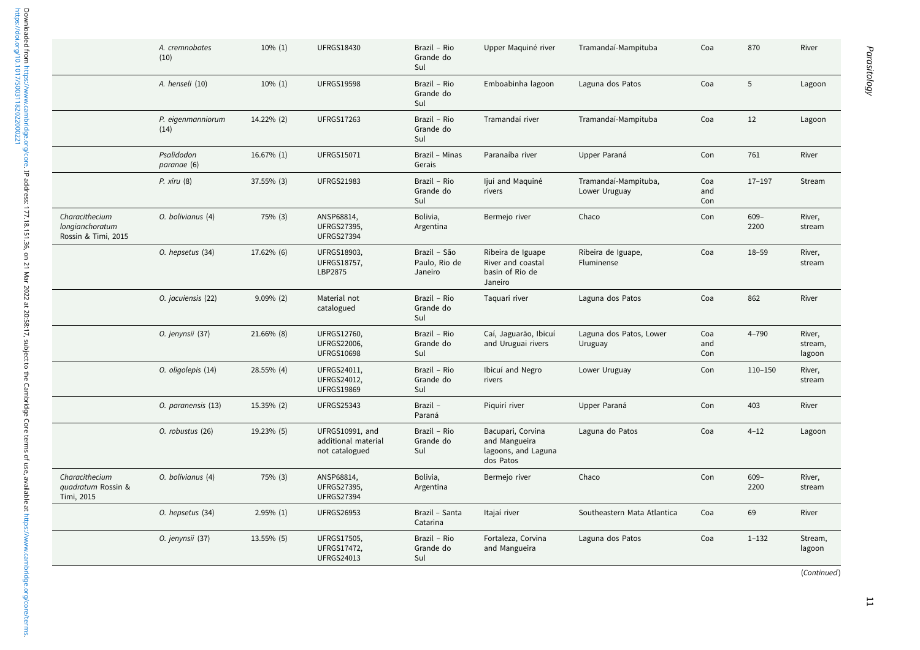|                                                          | A. cremnobates<br>(10)    | $10\%$ (1)   | <b>UFRGS18430</b>                                        | Brazil - Rio<br>Grande do<br>Sul         | Upper Maquiné river                                                    | Tramandaí-Mampituba                   | Coa               | 870             | River                       |
|----------------------------------------------------------|---------------------------|--------------|----------------------------------------------------------|------------------------------------------|------------------------------------------------------------------------|---------------------------------------|-------------------|-----------------|-----------------------------|
|                                                          | A. henseli (10)           | $10\% (1)$   | <b>UFRGS19598</b>                                        | Brazil - Rio<br>Grande do<br>Sul         | Emboabinha lagoon                                                      | Laguna dos Patos                      | Coa               | 5               | Lagoon                      |
|                                                          | P. eigenmanniorum<br>(14) | 14.22% (2)   | <b>UFRGS17263</b>                                        | Brazil - Rio<br>Grande do<br>Sul         | Tramandaí river                                                        | Tramandaí-Mampituba                   | Coa               | 12              | Lagoon                      |
|                                                          | Psalidodon<br>paranae (6) | 16.67% (1)   | <b>UFRGS15071</b>                                        | Brazil - Minas<br>Gerais                 | Paranaíba river                                                        | Upper Paraná                          | Con               | 761             | River                       |
|                                                          | P. xiru(8)                | 37.55% (3)   | <b>UFRGS21983</b>                                        | Brazil - Rio<br>Grande do<br>Sul         | ljuí and Maquiné<br>rivers                                             | Tramandaí-Mampituba,<br>Lower Uruguay | Coa<br>and<br>Con | $17 - 197$      | Stream                      |
| Characithecium<br>longianchoratum<br>Rossin & Timi, 2015 | O. bolivianus (4)         | 75% (3)      | ANSP68814,<br><b>UFRGS27395,</b><br><b>UFRGS27394</b>    | Bolivia,<br>Argentina                    | Bermejo river                                                          | Chaco                                 | Con               | $609 -$<br>2200 | River,<br>stream            |
|                                                          | O. hepsetus (34)          | 17.62% (6)   | UFRGS18903,<br>UFRGS18757,<br>LBP2875                    | Brazil - São<br>Paulo, Rio de<br>Janeiro | Ribeira de Iguape<br>River and coastal<br>basin of Rio de<br>Janeiro   | Ribeira de Iguape,<br>Fluminense      | Coa               | $18 - 59$       | River,<br>stream            |
|                                                          | O. jacuiensis (22)        | $9.09\%$ (2) | Material not<br>catalogued                               | Brazil - Rio<br>Grande do<br>Sul         | Taquari river                                                          | Laguna dos Patos                      | Coa               | 862             | River                       |
|                                                          | O. jenynsii (37)          | 21.66% (8)   | UFRGS12760,<br><b>UFRGS22006,</b><br><b>UFRGS10698</b>   | Brazil - Rio<br>Grande do<br>Sul         | Caí, Jaguarão, Ibicuí<br>and Uruguai rivers                            | Laguna dos Patos, Lower<br>Uruguay    | Coa<br>and<br>Con | $4 - 790$       | River,<br>stream,<br>lagoon |
|                                                          | O. oligolepis (14)        | 28.55% (4)   | UFRGS24011,<br>UFRGS24012,<br><b>UFRGS19869</b>          | Brazil - Rio<br>Grande do<br>Sul         | Ibicuí and Negro<br>rivers                                             | Lower Uruguay                         | Con               | $110 - 150$     | River,<br>stream            |
|                                                          | O. paranensis (13)        | 15.35% (2)   | <b>UFRGS25343</b>                                        | Brazil -<br>Paraná                       | Piguirí river                                                          | Upper Paraná                          | Con               | 403             | River                       |
|                                                          | O. robustus (26)          | 19.23% (5)   | UFRGS10991, and<br>additional material<br>not catalogued | Brazil - Rio<br>Grande do<br>Sul         | Bacupari, Corvina<br>and Mangueira<br>lagoons, and Laguna<br>dos Patos | Laguna do Patos                       | Coa               | $4 - 12$        | Lagoon                      |
| Characithecium<br>quadratum Rossin &<br>Timi, 2015       | O. bolivianus (4)         | 75% (3)      | ANSP68814,<br><b>UFRGS27395,</b><br><b>UFRGS27394</b>    | Bolivia,<br>Argentina                    | Bermejo river                                                          | Chaco                                 | Con               | $609 -$<br>2200 | River,<br>stream            |
|                                                          | O. hepsetus (34)          | $2.95\%$ (1) | <b>UFRGS26953</b>                                        | Brazil - Santa<br>Catarina               | Itajaí river                                                           | Southeastern Mata Atlantica           | Coa               | 69              | River                       |
|                                                          | O. jenynsii (37)          | 13.55% (5)   | UFRGS17505,<br><b>UFRGS17472,</b><br><b>UFRGS24013</b>   | Brazil - Rio<br>Grande do<br>Sul         | Fortaleza, Corvina<br>and Mangueira                                    | Laguna dos Patos                      | Coa               | $1 - 132$       | Stream,<br>lagoon           |
|                                                          |                           |              |                                                          |                                          |                                                                        |                                       |                   |                 | (Continued)                 |

 $\overline{11}$ 

<https://doi.org/10.1017/S0031182022000221>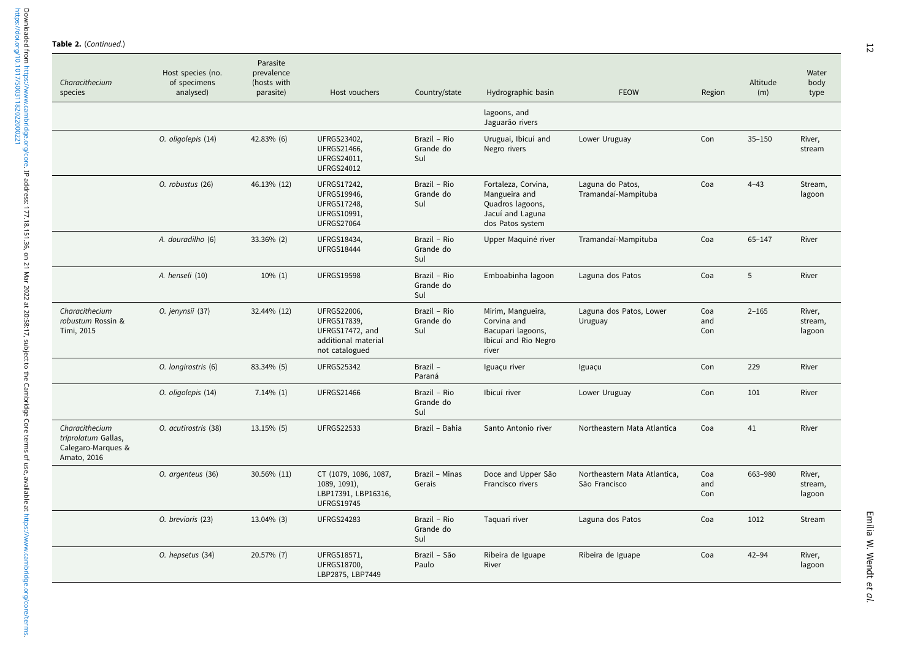Table 2. (Continued.)

| Characithecium<br>species                                                  | Host species (no.<br>of specimens<br>analysed) | Parasite<br>prevalence<br>(hosts with<br>parasite) | Host vouchers                                                                                        | Country/state                    | Hydrographic basin                                                                               | <b>FEOW</b>                                   | Region            | Altitude<br>(m) | Water<br>body<br>type       |
|----------------------------------------------------------------------------|------------------------------------------------|----------------------------------------------------|------------------------------------------------------------------------------------------------------|----------------------------------|--------------------------------------------------------------------------------------------------|-----------------------------------------------|-------------------|-----------------|-----------------------------|
|                                                                            |                                                |                                                    |                                                                                                      |                                  | lagoons, and<br>Jaguarão rivers                                                                  |                                               |                   |                 |                             |
|                                                                            | O. oligolepis (14)                             | 42.83% (6)                                         | UFRGS23402,<br><b>UFRGS21466,</b><br>UFRGS24011,<br><b>UFRGS24012</b>                                | Brazil - Rio<br>Grande do<br>Sul | Uruguai, Ibicuí and<br>Negro rivers                                                              | Lower Uruguay                                 | Con               | $35 - 150$      | River,<br>stream            |
|                                                                            | O. robustus (26)                               | 46.13% (12)                                        | UFRGS17242,<br><b>UFRGS19946,</b><br><b>UFRGS17248,</b><br>UFRGS10991,<br><b>UFRGS27064</b>          | Brazil - Rio<br>Grande do<br>Sul | Fortaleza, Corvina,<br>Mangueira and<br>Quadros lagoons,<br>Jacuí and Laguna<br>dos Patos system | Laguna do Patos,<br>Tramandaí-Mampituba       | Coa               | $4 - 43$        | Stream,<br>lagoon           |
|                                                                            | A. douradilho (6)                              | 33.36% (2)                                         | <b>UFRGS18434,</b><br><b>UFRGS18444</b>                                                              | Brazil - Rio<br>Grande do<br>Sul | Upper Maquiné river                                                                              | Tramandaí-Mampituba                           | Coa               | $65 - 147$      | River                       |
|                                                                            | A. henseli (10)                                | $10\% (1)$                                         | <b>UFRGS19598</b>                                                                                    | Brazil - Rio<br>Grande do<br>Sul | Emboabinha lagoon                                                                                | Laguna dos Patos                              | Coa               | 5               | River                       |
| Characithecium<br>robustum Rossin &<br>Timi, 2015                          | O. jenynsii (37)                               | 32.44% (12)                                        | <b>UFRGS22006,</b><br><b>UFRGS17839,</b><br>UFRGS17472, and<br>additional material<br>not catalogued | Brazil - Rio<br>Grande do<br>Sul | Mirim, Mangueira,<br>Corvina and<br>Bacupari lagoons,<br>Ibicuí and Rio Negro<br>river           | Laguna dos Patos, Lower<br>Uruguay            | Coa<br>and<br>Con | $2 - 165$       | River.<br>stream,<br>lagoon |
|                                                                            | O. longirostris (6)                            | 83.34% (5)                                         | <b>UFRGS25342</b>                                                                                    | Brazil -<br>Paraná               | Iguaçu river                                                                                     | Iguaçu                                        | Con               | 229             | River                       |
|                                                                            | O. oligolepis (14)                             | $7.14\%$ (1)                                       | <b>UFRGS21466</b>                                                                                    | Brazil - Rio<br>Grande do<br>Sul | Ibicuí river                                                                                     | Lower Uruguay                                 | Con               | 101             | River                       |
| Characithecium<br>triprolatum Gallas,<br>Calegaro-Marques &<br>Amato, 2016 | O. acutirostris (38)                           | 13.15% (5)                                         | <b>UFRGS22533</b>                                                                                    | Brazil - Bahia                   | Santo Antonio river                                                                              | Northeastern Mata Atlantica                   | Coa               | 41              | River                       |
|                                                                            | O. argenteus (36)                              | 30.56% (11)                                        | CT (1079, 1086, 1087,<br>1089, 1091),<br>LBP17391, LBP16316,<br><b>UFRGS19745</b>                    | Brazil - Minas<br>Gerais         | Doce and Upper São<br>Francisco rivers                                                           | Northeastern Mata Atlantica,<br>São Francisco | Coa<br>and<br>Con | 663-980         | River,<br>stream,<br>lagoon |
|                                                                            | O. brevioris (23)                              | 13.04% (3)                                         | <b>UFRGS24283</b>                                                                                    | Brazil - Rio<br>Grande do<br>Sul | Taquari river                                                                                    | Laguna dos Patos                              | Coa               | 1012            | Stream                      |
|                                                                            | O. hepsetus (34)                               | 20.57% (7)                                         | UFRGS18571,<br>UFRGS18700,<br>LBP2875, LBP7449                                                       | Brazil - São<br>Paulo            | Ribeira de Iguape<br>River                                                                       | Ribeira de Iguape                             | Coa               | $42 - 94$       | River,<br>lagoon            |

<https://doi.org/10.1017/S0031182022000221>

Downloaded from https://www.cambridge.org/core. IP address: 177.18.151.36, on 21 Mar 2022 at 20:58:17, subject to the Cambridge Core terms of use, available at https://www.cambridge.org/core/terms.<br>https://doi.org/10.1017/ Downloaded from<https://www.cambridge.org/core>. IP address: 177.18.151.36, on 21 Mar 2022 at 20:58:17, subject to the Cambridge Core terms of use, available at <https://www.cambridge.org/core/terms>.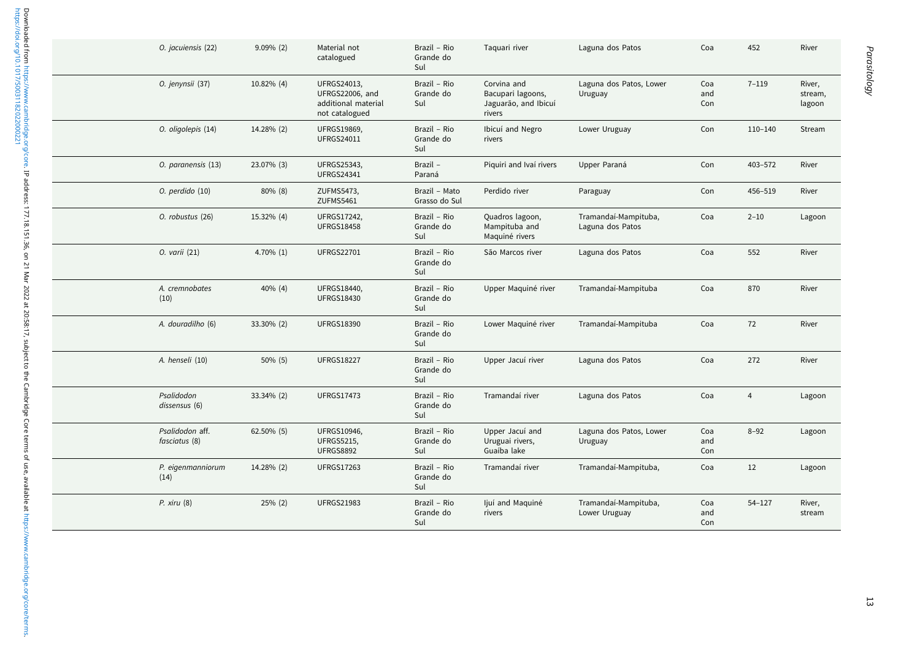| O. jacuiensis (22)               | 9.09% (2)  | Material not<br>catalogued                                                     | Brazil - Rio<br>Grande do<br>Sul | Taquari river                                                      | Laguna dos Patos                         | Coa               | 452            | River                       |
|----------------------------------|------------|--------------------------------------------------------------------------------|----------------------------------|--------------------------------------------------------------------|------------------------------------------|-------------------|----------------|-----------------------------|
| O. jenynsii (37)                 | 10.82% (4) | UFRGS24013,<br><b>UFRGS22006, and</b><br>additional material<br>not catalogued | Brazil - Rio<br>Grande do<br>Sul | Corvina and<br>Bacupari lagoons,<br>Jaguarão, and Ibicuí<br>rivers | Laguna dos Patos, Lower<br>Uruguay       | Coa<br>and<br>Con | $7 - 119$      | River,<br>stream,<br>lagoon |
| O. oligolepis (14)               | 14.28% (2) | <b>UFRGS19869,</b><br><b>UFRGS24011</b>                                        | Brazil - Rio<br>Grande do<br>Sul | Ibicuí and Negro<br>rivers                                         | Lower Uruguay                            | Con               | $110 - 140$    | Stream                      |
| O. paranensis (13)               | 23.07% (3) | UFRGS25343,<br><b>UFRGS24341</b>                                               | Brazil -<br>Paraná               | Piquiri and Ivaí rivers                                            | Upper Paraná                             | Con               | 403-572        | River                       |
| O. perdido (10)                  | $80\%$ (8) | ZUFMS5473,<br>ZUFMS5461                                                        | Brazil - Mato<br>Grasso do Sul   | Perdido river                                                      | Paraguay                                 | Con               | 456-519        | River                       |
| O. robustus (26)                 | 15.32% (4) | UFRGS17242,<br><b>UFRGS18458</b>                                               | Brazil - Rio<br>Grande do<br>Sul | Quadros lagoon,<br>Mampituba and<br>Maquiné rivers                 | Tramandaí-Mampituba,<br>Laguna dos Patos | Coa               | $2 - 10$       | Lagoon                      |
| 0. varii (21)                    | 4.70% (1)  | <b>UFRGS22701</b>                                                              | Brazil - Rio<br>Grande do<br>Sul | São Marcos river                                                   | Laguna dos Patos                         | Coa               | 552            | River                       |
| A. cremnobates<br>(10)           | 40% (4)    | UFRGS18440,<br><b>UFRGS18430</b>                                               | Brazil - Rio<br>Grande do<br>Sul | Upper Maquiné river                                                | Tramandaí-Mampituba                      | Coa               | 870            | River                       |
| A. douradilho (6)                | 33.30% (2) | <b>UFRGS18390</b>                                                              | Brazil - Rio<br>Grande do<br>Sul | Lower Maquiné river                                                | Tramandaí-Mampituba                      | Coa               | 72             | River                       |
| A. henseli (10)                  | $50\%$ (5) | <b>UFRGS18227</b>                                                              | Brazil - Rio<br>Grande do<br>Sul | Upper Jacuí river                                                  | Laguna dos Patos                         | Coa               | 272            | River                       |
| Psalidodon<br>dissensus (6)      | 33.34% (2) | <b>UFRGS17473</b>                                                              | Brazil - Rio<br>Grande do<br>Sul | Tramandaí river                                                    | Laguna dos Patos                         | Coa               | $\overline{4}$ | Lagoon                      |
| Psalidodon aff.<br>fasciatus (8) | 62.50% (5) | <b>UFRGS10946,</b><br><b>UFRGS5215,</b><br><b>UFRGS8892</b>                    | Brazil - Rio<br>Grande do<br>Sul | Upper Jacuí and<br>Uruguai rivers,<br>Guaíba lake                  | Laguna dos Patos, Lower<br>Uruguay       | Coa<br>and<br>Con | $8 - 92$       | Lagoon                      |
| P. eigenmanniorum<br>(14)        | 14.28% (2) | <b>UFRGS17263</b>                                                              | Brazil - Rio<br>Grande do<br>Sul | Tramandaí river                                                    | Tramandaí-Mampituba,                     | Coa               | 12             | Lagoon                      |
| P. xiru(8)                       | $25\%$ (2) | <b>UFRGS21983</b>                                                              | Brazil - Rio<br>Grande do<br>Sul | ljuí and Maguiné<br>rivers                                         | Tramandaí-Mampituba,<br>Lower Uruguay    | Coa<br>and<br>Con | $54 - 127$     | River,<br>stream            |

Parasitology

Parasitology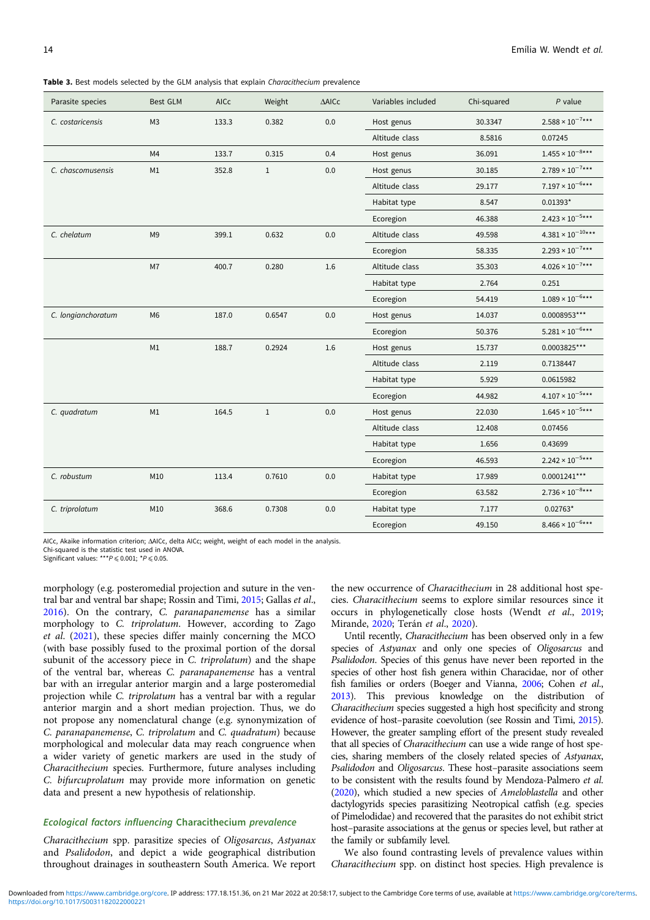<span id="page-13-0"></span>Table 3. Best models selected by the GLM analysis that explain Characithecium prevalence

| Parasite species   | <b>Best GLM</b> | AICc  | Weight       | $\triangle$ AICc | Variables included | Chi-squared | $P$ value                           |
|--------------------|-----------------|-------|--------------|------------------|--------------------|-------------|-------------------------------------|
| C. costaricensis   | M <sub>3</sub>  | 133.3 | 0.382        | 0.0              | Host genus         | 30.3347     | $2.588 \times 10^{-7}$ ***          |
|                    |                 |       |              |                  | Altitude class     | 8.5816      | 0.07245                             |
|                    | M4              | 133.7 | 0.315        | 0.4              | Host genus         | 36.091      | $1.455\times10^{-8\star\star\star}$ |
| C. chascomusensis  | M1              | 352.8 | $\mathbf{1}$ | 0.0              | Host genus         | 30.185      | $2.789 \times 10^{-7***}$           |
|                    |                 |       |              |                  | Altitude class     | 29.177      | $7.197 \times 10^{-6***}$           |
|                    |                 |       |              |                  | Habitat type       | 8.547       | $0.01393*$                          |
|                    |                 |       |              |                  | Ecoregion          | 46.388      | $2.423\times10^{-5\star\star\star}$ |
| C. chelatum        | M <sub>9</sub>  | 399.1 | 0.632        | 0.0              | Altitude class     | 49.598      | $4.381 \times 10^{-10***}$          |
|                    |                 |       |              |                  | Ecoregion          | 58.335      | $2.293\times10^{-7\star\star\star}$ |
|                    | M7              | 400.7 | 0.280        | 1.6              | Altitude class     | 35.303      | $4.026 \times 10^{-7}$ ***          |
|                    |                 |       |              |                  | Habitat type       | 2.764       | 0.251                               |
|                    |                 |       |              |                  | Ecoregion          | 54.419      | $1.089 \times 10^{-6***}$           |
| C. longianchoratum | M <sub>6</sub>  | 187.0 | 0.6547       | 0.0              | Host genus         | 14.037      | 0.0008953***                        |
|                    |                 |       |              |                  | Ecoregion          | 50.376      | $5.281 \times 10^{-6***}$           |
|                    | M1              | 188.7 | 0.2924       | 1.6              | Host genus         | 15.737      | 0.0003825***                        |
|                    |                 |       |              |                  | Altitude class     | 2.119       | 0.7138447                           |
|                    |                 |       |              |                  | Habitat type       | 5.929       | 0.0615982                           |
|                    |                 |       |              |                  | Ecoregion          | 44.982      | $4.107\times10^{-5\star\star\star}$ |
| C. quadratum       | M1              | 164.5 | $1\,$        | 0.0              | Host genus         | 22.030      | $1.645 \times 10^{-5***}$           |
|                    |                 |       |              |                  | Altitude class     | 12.408      | 0.07456                             |
|                    |                 |       |              |                  | Habitat type       | 1.656       | 0.43699                             |
|                    |                 |       |              |                  | Ecoregion          | 46.593      | $2.242 \times 10^{-5***}$           |
| C. robustum        | M10             | 113.4 | 0.7610       | 0.0              | Habitat type       | 17.989      | $0.0001241***$                      |
|                    |                 |       |              |                  | Ecoregion          | 63.582      | $2.736 \times 10^{-8***}$           |
| C. triprolatum     | M10             | 368.6 | 0.7308       | 0.0              | Habitat type       | 7.177       | $0.02763*$                          |
|                    |                 |       |              |                  | Ecoregion          | 49.150      | $8.466 \times 10^{-6***}$           |

AICc, Akaike information criterion; ΔAICc, delta AICc; weight, weight of each model in the analysis.

Chi-squared is the statistic test used in ANOVA.

Significant values: \*\*\* $P \le 0.001$ ; \* $P \le 0.05$ .

morphology (e.g. posteromedial projection and suture in the ventral bar and ventral bar shape; Rossin and Timi, [2015](#page-16-0); Gallas et al., [2016\)](#page-15-0). On the contrary, C. paranapanemense has a similar morphology to C. triprolatum. However, according to Zago et al. [\(2021](#page-16-0)), these species differ mainly concerning the MCO (with base possibly fused to the proximal portion of the dorsal subunit of the accessory piece in C. triprolatum) and the shape of the ventral bar, whereas C. paranapanemense has a ventral bar with an irregular anterior margin and a large posteromedial projection while C. triprolatum has a ventral bar with a regular anterior margin and a short median projection. Thus, we do not propose any nomenclatural change (e.g. synonymization of C. paranapanemense, C. triprolatum and C. quadratum) because morphological and molecular data may reach congruence when a wider variety of genetic markers are used in the study of Characithecium species. Furthermore, future analyses including C. bifurcuprolatum may provide more information on genetic data and present a new hypothesis of relationship.

# Ecological factors influencing Characithecium prevalence

Characithecium spp. parasitize species of Oligosarcus, Astyanax and Psalidodon, and depict a wide geographical distribution throughout drainages in southeastern South America. We report

the new occurrence of Characithecium in 28 additional host species. Characithecium seems to explore similar resources since it occurs in phylogenetically close hosts (Wendt et al., [2019;](#page-16-0) Mirande, [2020](#page-16-0); Terán et al., [2020](#page-16-0)).

Until recently, Characithecium has been observed only in a few species of Astyanax and only one species of Oligosarcus and Psalidodon. Species of this genus have never been reported in the species of other host fish genera within Characidae, nor of other fish families or orders (Boeger and Vianna, [2006;](#page-15-0) Cohen et al., [2013\)](#page-15-0). This previous knowledge on the distribution of Characithecium species suggested a high host specificity and strong evidence of host–parasite coevolution (see Rossin and Timi, [2015\)](#page-16-0). However, the greater sampling effort of the present study revealed that all species of Characithecium can use a wide range of host species, sharing members of the closely related species of Astyanax, Psalidodon and Oligosarcus. These host–parasite associations seem to be consistent with the results found by Mendoza-Palmero et al. [\(2020](#page-16-0)), which studied a new species of Ameloblastella and other dactylogyrids species parasitizing Neotropical catfish (e.g. species of Pimelodidae) and recovered that the parasites do not exhibit strict host–parasite associations at the genus or species level, but rather at the family or subfamily level.

We also found contrasting levels of prevalence values within Characithecium spp. on distinct host species. High prevalence is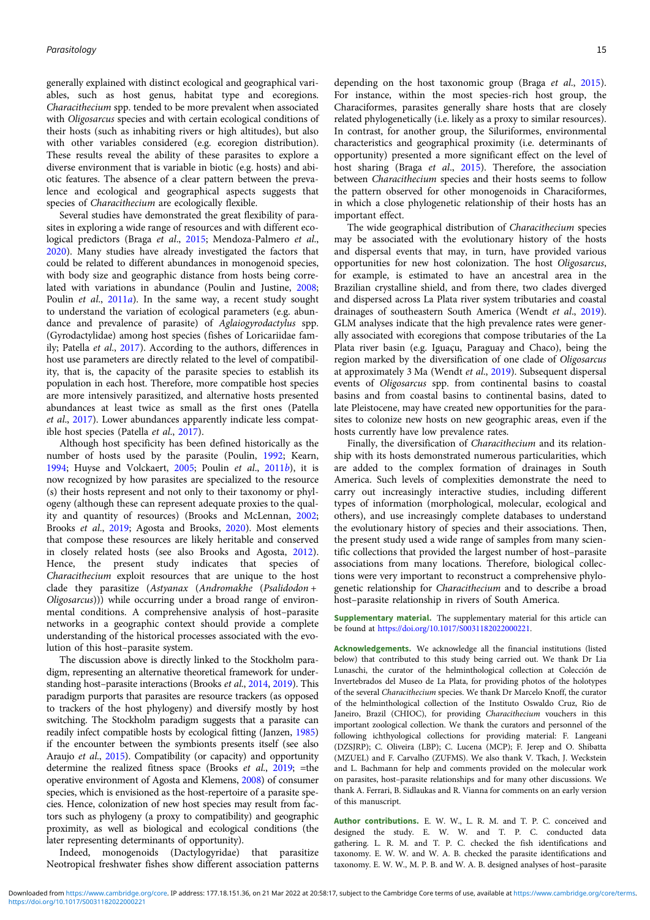generally explained with distinct ecological and geographical variables, such as host genus, habitat type and ecoregions. Characithecium spp. tended to be more prevalent when associated with Oligosarcus species and with certain ecological conditions of their hosts (such as inhabiting rivers or high altitudes), but also with other variables considered (e.g. ecoregion distribution). These results reveal the ability of these parasites to explore a diverse environment that is variable in biotic (e.g. hosts) and abiotic features. The absence of a clear pattern between the prevalence and ecological and geographical aspects suggests that species of Characithecium are ecologically flexible.

Several studies have demonstrated the great flexibility of parasites in exploring a wide range of resources and with different ecological predictors (Braga et al., [2015](#page-15-0); Mendoza-Palmero et al., [2020\)](#page-16-0). Many studies have already investigated the factors that could be related to different abundances in monogenoid species, with body size and geographic distance from hosts being correlated with variations in abundance (Poulin and Justine, [2008;](#page-16-0) Poulin et al., [2011](#page-16-0)a). In the same way, a recent study sought to understand the variation of ecological parameters (e.g. abundance and prevalence of parasite) of Aglaiogyrodactylus spp. (Gyrodactylidae) among host species (fishes of Loricariidae family; Patella et al., [2017](#page-16-0)). According to the authors, differences in host use parameters are directly related to the level of compatibility, that is, the capacity of the parasite species to establish its population in each host. Therefore, more compatible host species are more intensively parasitized, and alternative hosts presented abundances at least twice as small as the first ones (Patella et al., [2017\)](#page-16-0). Lower abundances apparently indicate less compatible host species (Patella et al., [2017](#page-16-0)).

Although host specificity has been defined historically as the number of hosts used by the parasite (Poulin, [1992](#page-16-0); Kearn, [1994;](#page-15-0) Huyse and Volckaert, [2005;](#page-15-0) Poulin et al., [2011](#page-16-0)b), it is now recognized by how parasites are specialized to the resource (s) their hosts represent and not only to their taxonomy or phylogeny (although these can represent adequate proxies to the quality and quantity of resources) (Brooks and McLennan, [2002;](#page-15-0) Brooks et al., [2019](#page-15-0); Agosta and Brooks, [2020\)](#page-15-0). Most elements that compose these resources are likely heritable and conserved in closely related hosts (see also Brooks and Agosta, [2012\)](#page-15-0). Hence, the present study indicates that species of Characithecium exploit resources that are unique to the host clade they parasitize (Astyanax (Andromakhe (Psalidodon + Oligosarcus))) while occurring under a broad range of environmental conditions. A comprehensive analysis of host–parasite networks in a geographic context should provide a complete understanding of the historical processes associated with the evolution of this host–parasite system.

The discussion above is directly linked to the Stockholm paradigm, representing an alternative theoretical framework for understanding host–parasite interactions (Brooks et al., [2014](#page-15-0), [2019\)](#page-15-0). This paradigm purports that parasites are resource trackers (as opposed to trackers of the host phylogeny) and diversify mostly by host switching. The Stockholm paradigm suggests that a parasite can readily infect compatible hosts by ecological fitting (Janzen, [1985\)](#page-15-0) if the encounter between the symbionts presents itself (see also Araujo et al., [2015](#page-15-0)). Compatibility (or capacity) and opportunity determine the realized fitness space (Brooks et al., [2019;](#page-15-0) =the operative environment of Agosta and Klemens, [2008](#page-15-0)) of consumer species, which is envisioned as the host-repertoire of a parasite species. Hence, colonization of new host species may result from factors such as phylogeny (a proxy to compatibility) and geographic proximity, as well as biological and ecological conditions (the later representing determinants of opportunity).

Indeed, monogenoids (Dactylogyridae) that parasitize Neotropical freshwater fishes show different association patterns

depending on the host taxonomic group (Braga et al., [2015](#page-15-0)). For instance, within the most species-rich host group, the Characiformes, parasites generally share hosts that are closely related phylogenetically (i.e. likely as a proxy to similar resources). In contrast, for another group, the Siluriformes, environmental characteristics and geographical proximity (i.e. determinants of opportunity) presented a more significant effect on the level of host sharing (Braga et al., [2015](#page-15-0)). Therefore, the association between Characithecium species and their hosts seems to follow the pattern observed for other monogenoids in Characiformes, in which a close phylogenetic relationship of their hosts has an important effect.

The wide geographical distribution of Characithecium species may be associated with the evolutionary history of the hosts and dispersal events that may, in turn, have provided various opportunities for new host colonization. The host Oligosarcus, for example, is estimated to have an ancestral area in the Brazilian crystalline shield, and from there, two clades diverged and dispersed across La Plata river system tributaries and coastal drainages of southeastern South America (Wendt et al., [2019](#page-16-0)). GLM analyses indicate that the high prevalence rates were generally associated with ecoregions that compose tributaries of the La Plata river basin (e.g. Iguaçu, Paraguay and Chaco), being the region marked by the diversification of one clade of Oligosarcus at approximately 3 Ma (Wendt et al., [2019\)](#page-16-0). Subsequent dispersal events of Oligosarcus spp. from continental basins to coastal basins and from coastal basins to continental basins, dated to late Pleistocene, may have created new opportunities for the parasites to colonize new hosts on new geographic areas, even if the hosts currently have low prevalence rates.

Finally, the diversification of Characithecium and its relationship with its hosts demonstrated numerous particularities, which are added to the complex formation of drainages in South America. Such levels of complexities demonstrate the need to carry out increasingly interactive studies, including different types of information (morphological, molecular, ecological and others), and use increasingly complete databases to understand the evolutionary history of species and their associations. Then, the present study used a wide range of samples from many scientific collections that provided the largest number of host–parasite associations from many locations. Therefore, biological collections were very important to reconstruct a comprehensive phylogenetic relationship for Characithecium and to describe a broad host–parasite relationship in rivers of South America.

Supplementary material. The supplementary material for this article can be found at [https://doi.org/10.1017/S0031182022000221.](https://doi.org/10.1017/S0031182022000221)

Acknowledgements. We acknowledge all the financial institutions (listed below) that contributed to this study being carried out. We thank Dr Lia Lunaschi, the curator of the helminthological collection at Colección de Invertebrados del Museo de La Plata, for providing photos of the holotypes of the several Characithecium species. We thank Dr Marcelo Knoff, the curator of the helminthological collection of the Instituto Oswaldo Cruz, Rio de Janeiro, Brazil (CHIOC), for providing Characithecium vouchers in this important zoological collection. We thank the curators and personnel of the following ichthyological collections for providing material: F. Langeani (DZSJRP); C. Oliveira (LBP); C. Lucena (MCP); F. Jerep and O. Shibatta (MZUEL) and F. Carvalho (ZUFMS). We also thank V. Tkach, J. Weckstein and L. Bachmann for help and comments provided on the molecular work on parasites, host–parasite relationships and for many other discussions. We thank A. Ferrari, B. Sidlaukas and R. Vianna for comments on an early version of this manuscript.

Author contributions. E. W. W., L. R. M. and T. P. C. conceived and designed the study. E. W. W. and T. P. C. conducted data gathering. L. R. M. and T. P. C. checked the fish identifications and taxonomy. E. W. W. and W. A. B. checked the parasite identifications and taxonomy. E. W. W., M. P. B. and W. A. B. designed analyses of host–parasite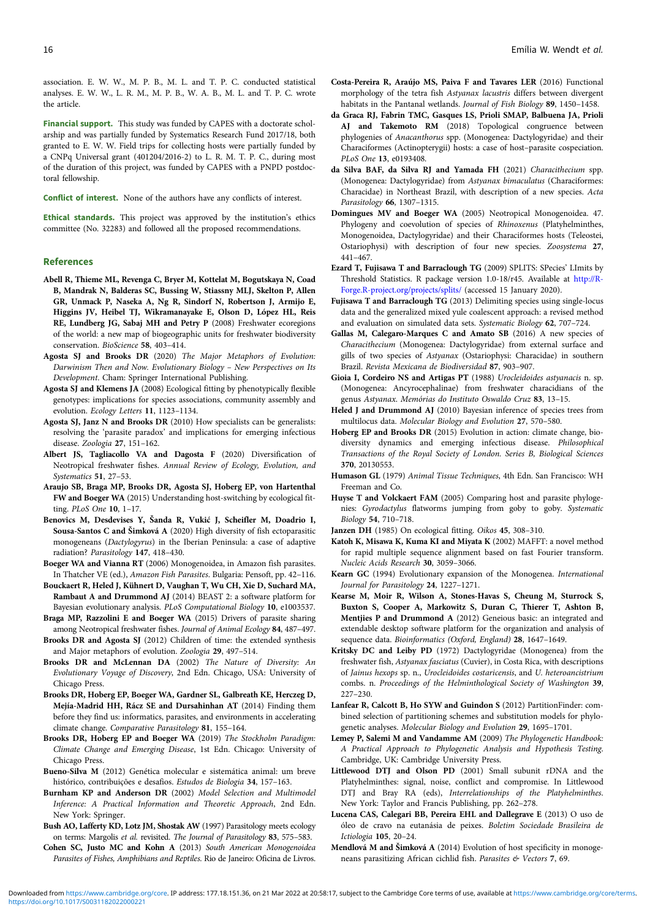<span id="page-15-0"></span>association. E. W. W., M. P. B., M. L. and T. P. C. conducted statistical analyses. E. W. W., L. R. M., M. P. B., W. A. B., M. L. and T. P. C. wrote the article.

Financial support. This study was funded by CAPES with a doctorate scholarship and was partially funded by Systematics Research Fund 2017/18, both granted to E. W. W. Field trips for collecting hosts were partially funded by a CNPq Universal grant (401204/2016-2) to L. R. M. T. P. C., during most of the duration of this project, was funded by CAPES with a PNPD postdoctoral fellowship.

Conflict of interest. None of the authors have any conflicts of interest.

Ethical standards. This project was approved by the institution's ethics committee (No. 32283) and followed all the proposed recommendations.

#### **References**

- Abell R, Thieme ML, Revenga C, Bryer M, Kottelat M, Bogutskaya N, Coad B, Mandrak N, Balderas SC, Bussing W, Stiassny MLJ, Skelton P, Allen GR, Unmack P, Naseka A, Ng R, Sindorf N, Robertson J, Armijo E, Higgins JV, Heibel TJ, Wikramanayake E, Olson D, López HL, Reis RE, Lundberg JG, Sabaj MH and Petry P (2008) Freshwater ecoregions of the world: a new map of biogeographic units for freshwater biodiversity conservation. BioScience 58, 403–414.
- Agosta SJ and Brooks DR (2020) The Major Metaphors of Evolution: Darwinism Then and Now. Evolutionary Biology – New Perspectives on Its Development. Cham: Springer International Publishing.
- Agosta SJ and Klemens JA (2008) Ecological fitting by phenotypically flexible genotypes: implications for species associations, community assembly and evolution. Ecology Letters 11, 1123–1134.
- Agosta SJ, Janz N and Brooks DR (2010) How specialists can be generalists: resolving the 'parasite paradox' and implications for emerging infectious disease. Zoologia 27, 151–162.
- Albert JS, Tagliacollo VA and Dagosta F (2020) Diversification of Neotropical freshwater fishes. Annual Review of Ecology, Evolution, and Systematics 51, 27–53.
- Araujo SB, Braga MP, Brooks DR, Agosta SJ, Hoberg EP, von Hartenthal FW and Boeger WA (2015) Understanding host-switching by ecological fitting. PLoS One 10, 1–17.
- Benovics M, Desdevises Y, Šanda R, Vukić J, Scheifler M, Doadrio I, Sousa-Santos C and Šimková A (2020) High diversity of fish ectoparasitic monogeneans (Dactylogyrus) in the Iberian Peninsula: a case of adaptive radiation? Parasitology 147, 418–430.
- Boeger WA and Vianna RT (2006) Monogenoidea, in Amazon fish parasites. In Thatcher VE (ed.), Amazon Fish Parasites. Bulgaria: Pensoft, pp. 42–116.
- Bouckaert R, Heled J, Kühnert D, Vaughan T, Wu CH, Xie D, Suchard MA, Rambaut A and Drummond AJ (2014) BEAST 2: a software platform for Bayesian evolutionary analysis. PLoS Computational Biology 10, e1003537.
- Braga MP, Razzolini E and Boeger WA (2015) Drivers of parasite sharing among Neotropical freshwater fishes. Journal of Animal Ecology 84, 487–497.
- Brooks DR and Agosta SJ (2012) Children of time: the extended synthesis and Major metaphors of evolution. Zoologia 29, 497–514.
- Brooks DR and McLennan DA (2002) The Nature of Diversity: An Evolutionary Voyage of Discovery, 2nd Edn. Chicago, USA: University of Chicago Press.
- Brooks DR, Hoberg EP, Boeger WA, Gardner SL, Galbreath KE, Herczeg D, Mejía-Madrid HH, Rácz SE and Dursahinhan AT (2014) Finding them before they find us: informatics, parasites, and environments in accelerating climate change. Comparative Parasitology 81, 155–164.
- Brooks DR, Hoberg EP and Boeger WA (2019) The Stockholm Paradigm: Climate Change and Emerging Disease, 1st Edn. Chicago: University of Chicago Press.
- Bueno-Silva M (2012) Genética molecular e sistemática animal: um breve histórico, contribuições e desafios. Estudos de Biologia 34, 157–163.
- Burnham KP and Anderson DR (2002) Model Selection and Multimodel Inference: A Practical Information and Theoretic Approach, 2nd Edn. New York: Springer.
- Bush AO, Lafferty KD, Lotz JM, Shostak AW (1997) Parasitology meets ecology on terms: Margolis et al. revisited. The Journal of Parasitology 83, 575–583.
- Cohen SC, Justo MC and Kohn A (2013) South American Monogenoidea Parasites of Fishes, Amphibians and Reptiles. Rio de Janeiro: Oficina de Livros.
- Costa-Pereira R, Araújo MS, Paiva F and Tavares LER (2016) Functional morphology of the tetra fish Astyanax lacustris differs between divergent habitats in the Pantanal wetlands. Journal of Fish Biology 89, 1450–1458.
- da Graca RJ, Fabrin TMC, Gasques LS, Prioli SMAP, Balbuena JA, Prioli AJ and Takemoto RM (2018) Topological congruence between phylogenies of Anacanthorus spp. (Monogenea: Dactylogyridae) and their Characiformes (Actinopterygii) hosts: a case of host–parasite cospeciation. PLoS One 13, e0193408.
- da Silva BAF, da Silva RJ and Yamada FH (2021) Characithecium spp. (Monogenea: Dactylogyridae) from Astyanax bimaculatus (Characiformes: Characidae) in Northeast Brazil, with description of a new species. Acta Parasitology 66, 1307–1315.
- Domingues MV and Boeger WA (2005) Neotropical Monogenoidea. 47. Phylogeny and coevolution of species of Rhinoxenus (Platyhelminthes, Monogenoidea, Dactylogyridae) and their Characiformes hosts (Teleostei, Ostariophysi) with description of four new species. Zoosystema 27, 441–467.
- Ezard T, Fujisawa T and Barraclough TG (2009) SPLITS: SPecies' LImits by Threshold Statistics. R package version 1.0-18/r45. Available at [http://R-](http://R-Forge.R-project.org/projects/splits/)[Forge.R-project.org/projects/splits/](http://R-Forge.R-project.org/projects/splits/) (accessed 15 January 2020).
- Fujisawa T and Barraclough TG (2013) Delimiting species using single-locus data and the generalized mixed yule coalescent approach: a revised method and evaluation on simulated data sets. Systematic Biology 62, 707–724.
- Gallas M, Calegaro-Marques C and Amato SB (2016) A new species of Characithecium (Monogenea: Dactylogyridae) from external surface and gills of two species of Astyanax (Ostariophysi: Characidae) in southern Brazil. Revista Mexicana de Biodiversidad 87, 903–907.
- Gioia I, Cordeiro NS and Artigas PT (1988) Urocleidoides astyanacis n. sp. (Monogenea: Ancyrocephalinae) from freshwater characidians of the genus Astyanax. Memórias do Instituto Oswaldo Cruz 83, 13–15.
- Heled J and Drummond AJ (2010) Bayesian inference of species trees from multilocus data. Molecular Biology and Evolution 27, 570–580.
- Hoberg EP and Brooks DR (2015) Evolution in action: climate change, biodiversity dynamics and emerging infectious disease. Philosophical Transactions of the Royal Society of London. Series B, Biological Sciences 370, 20130553.
- Humason GL (1979) Animal Tissue Techniques, 4th Edn. San Francisco: WH Freeman and Co.
- Huyse T and Volckaert FAM (2005) Comparing host and parasite phylogenies: Gyrodactylus flatworms jumping from goby to goby. Systematic Biology 54, 710–718.
- Janzen DH (1985) On ecological fitting. Oikos 45, 308–310.
- Katoh K, Misawa K, Kuma KI and Miyata K (2002) MAFFT: a novel method for rapid multiple sequence alignment based on fast Fourier transform. Nucleic Acids Research 30, 3059–3066.
- Kearn GC (1994) Evolutionary expansion of the Monogenea. International Journal for Parasitology 24, 1227–1271.
- Kearse M, Moir R, Wilson A, Stones-Havas S, Cheung M, Sturrock S, Buxton S, Cooper A, Markowitz S, Duran C, Thierer T, Ashton B, Mentjies P and Drummond A (2012) Geneious basic: an integrated and extendable desktop software platform for the organization and analysis of sequence data. Bioinformatics (Oxford, England) 28, 1647–1649.
- Kritsky DC and Leiby PD (1972) Dactylogyridae (Monogenea) from the freshwater fish, Astyanax fasciatus (Cuvier), in Costa Rica, with descriptions of Jainus hexops sp. n., Urocleidoides costaricensis, and U. heteroancistrium combs. n. Proceedings of the Helminthological Society of Washington 39, 227–230.
- Lanfear R, Calcott B, Ho SYW and Guindon S (2012) PartitionFinder: combined selection of partitioning schemes and substitution models for phylogenetic analyses. Molecular Biology and Evolution 29, 1695–1701.
- Lemey P, Salemi M and Vandamme AM (2009) The Phylogenetic Handbook: A Practical Approach to Phylogenetic Analysis and Hypothesis Testing. Cambridge, UK: Cambridge University Press.
- Littlewood DTJ and Olson PD (2001) Small subunit rDNA and the Platyhelminthes: signal, noise, conflict and compromise. In Littlewood DTJ and Bray RA (eds), Interrelationships of the Platyhelminthes. New York: Taylor and Francis Publishing, pp. 262–278.
- Lucena CAS, Calegari BB, Pereira EHL and Dallegrave E (2013) O uso de óleo de cravo na eutanásia de peixes. Boletim Sociedade Brasileira de Ictiologia 105, 20–24.
- Mendlová M and Šimková A (2014) Evolution of host specificity in monogeneans parasitizing African cichlid fish. Parasites & Vectors 7, 69.